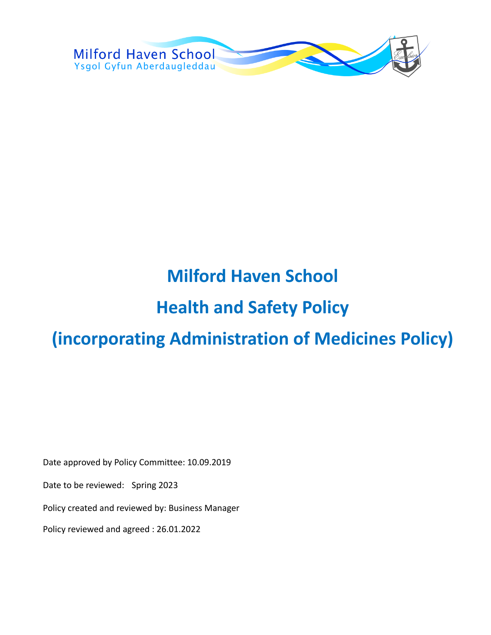

# **Milford Haven School**

## **Health and Safety Policy**

# **(incorporating Administration of Medicines Policy)**

Date approved by Policy Committee: 10.09.2019

Date to be reviewed: Spring 2023

Policy created and reviewed by: Business Manager

Policy reviewed and agreed : 26.01.2022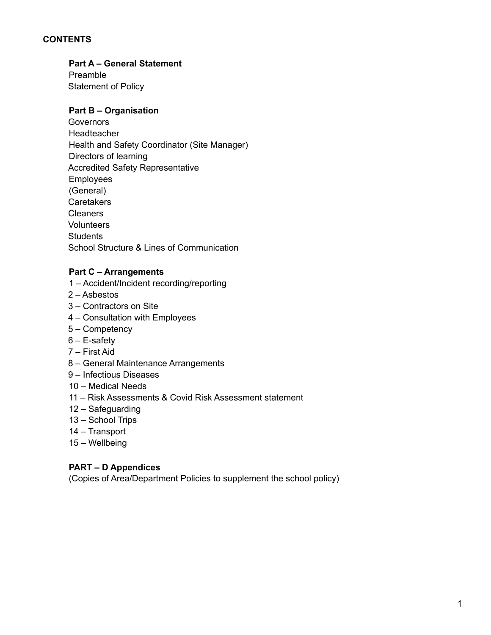#### **CONTENTS**

#### **Part A – General Statement**

Preamble Statement of Policy

#### **Part B – Organisation**

**Governors** Headteacher Health and Safety Coordinator (Site Manager) Directors of learning Accredited Safety Representative Employees (General) Caretakers Cleaners **Volunteers Students** School Structure & Lines of Communication

#### **Part C – Arrangements**

- 1 Accident/Incident recording/reporting
- 2 Asbestos
- 3 Contractors on Site
- 4 Consultation with Employees
- 5 Competency
- $6 E$ -safety
- 7 First Aid
- 8 General Maintenance Arrangements
- 9 Infectious Diseases
- 10 Medical Needs
- 11 Risk Assessments & Covid Risk Assessment statement
- 12 Safeguarding
- 13 School Trips
- 14 Transport
- 15 Wellbeing

#### **PART – D Appendices**

(Copies of Area/Department Policies to supplement the school policy)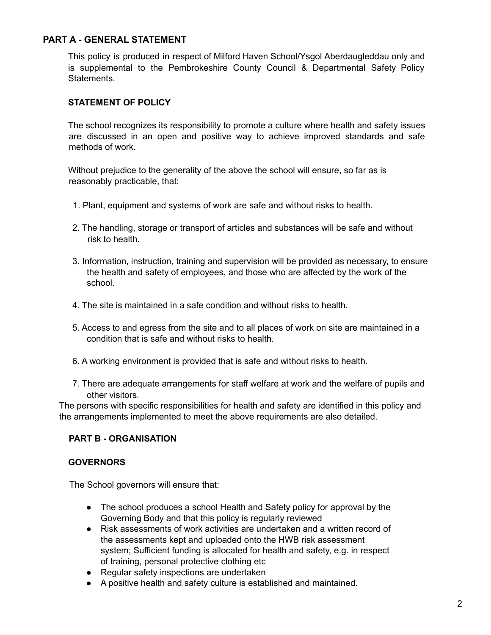#### **PART A - GENERAL STATEMENT**

This policy is produced in respect of Milford Haven School/Ysgol Aberdaugleddau only and is supplemental to the Pembrokeshire County Council & Departmental Safety Policy Statements.

#### **STATEMENT OF POLICY**

The school recognizes its responsibility to promote a culture where health and safety issues are discussed in an open and positive way to achieve improved standards and safe methods of work.

Without prejudice to the generality of the above the school will ensure, so far as is reasonably practicable, that:

- 1. Plant, equipment and systems of work are safe and without risks to health.
- 2. The handling, storage or transport of articles and substances will be safe and without risk to health.
- 3. Information, instruction, training and supervision will be provided as necessary, to ensure the health and safety of employees, and those who are affected by the work of the school.
- 4. The site is maintained in a safe condition and without risks to health.
- 5. Access to and egress from the site and to all places of work on site are maintained in a condition that is safe and without risks to health.
- 6. A working environment is provided that is safe and without risks to health.
- 7. There are adequate arrangements for staff welfare at work and the welfare of pupils and other visitors.

The persons with specific responsibilities for health and safety are identified in this policy and the arrangements implemented to meet the above requirements are also detailed.

#### **PART B - ORGANISATION**

#### **GOVERNORS**

The School governors will ensure that:

- The school produces a school Health and Safety policy for approval by the Governing Body and that this policy is regularly reviewed
- Risk assessments of work activities are undertaken and a written record of the assessments kept and uploaded onto the HWB risk assessment system; Sufficient funding is allocated for health and safety, e.g. in respect of training, personal protective clothing etc
- Regular safety inspections are undertaken
- A positive health and safety culture is established and maintained.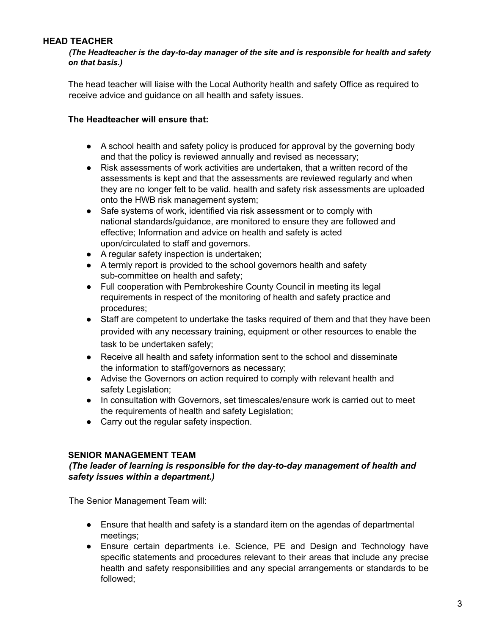#### **HEAD TEACHER**

*(The Headteacher is the day-to-day manager of the site and is responsible for health and safety on that basis.)*

The head teacher will liaise with the Local Authority health and safety Office as required to receive advice and guidance on all health and safety issues.

#### **The Headteacher will ensure that:**

- A school health and safety policy is produced for approval by the governing body and that the policy is reviewed annually and revised as necessary;
- Risk assessments of work activities are undertaken, that a written record of the assessments is kept and that the assessments are reviewed regularly and when they are no longer felt to be valid. health and safety risk assessments are uploaded onto the HWB risk management system;
- Safe systems of work, identified via risk assessment or to comply with national standards/guidance, are monitored to ensure they are followed and effective; Information and advice on health and safety is acted upon/circulated to staff and governors.
- A regular safety inspection is undertaken;
- A termly report is provided to the school governors health and safety sub-committee on health and safety;
- Full cooperation with Pembrokeshire County Council in meeting its legal requirements in respect of the monitoring of health and safety practice and procedures;
- Staff are competent to undertake the tasks required of them and that they have been provided with any necessary training, equipment or other resources to enable the task to be undertaken safely;
- Receive all health and safety information sent to the school and disseminate the information to staff/governors as necessary;
- Advise the Governors on action required to comply with relevant health and safety Legislation;
- In consultation with Governors, set timescales/ensure work is carried out to meet the requirements of health and safety Legislation;
- Carry out the regular safety inspection.

#### **SENIOR MANAGEMENT TEAM**

#### *(The leader of learning is responsible for the day-to-day management of health and safety issues within a department.)*

The Senior Management Team will:

- Ensure that health and safety is a standard item on the agendas of departmental meetings;
- Ensure certain departments i.e. Science, PE and Design and Technology have specific statements and procedures relevant to their areas that include any precise health and safety responsibilities and any special arrangements or standards to be followed;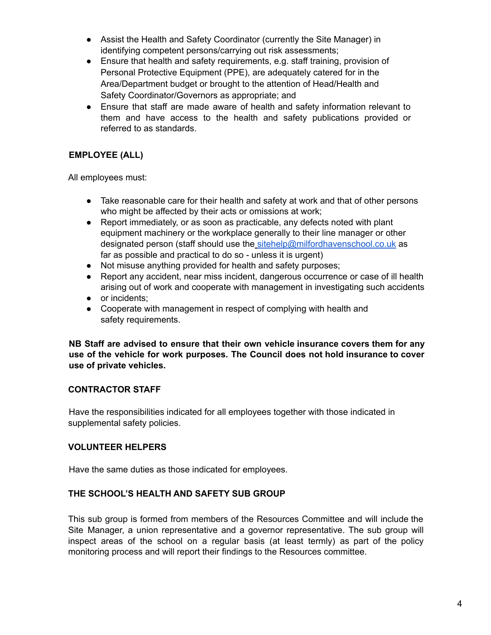- Assist the Health and Safety Coordinator (currently the Site Manager) in identifying competent persons/carrying out risk assessments;
- Ensure that health and safety requirements, e.g. staff training, provision of Personal Protective Equipment (PPE), are adequately catered for in the Area/Department budget or brought to the attention of Head/Health and Safety Coordinator/Governors as appropriate; and
- Ensure that staff are made aware of health and safety information relevant to them and have access to the health and safety publications provided or referred to as standards.

## **EMPLOYEE (ALL)**

All employees must:

- Take reasonable care for their health and safety at work and that of other persons who might be affected by their acts or omissions at work;
- Report immediately, or as soon as practicable, any defects noted with plant equipment machinery or the workplace generally to their line manager or other designated person (staff should use the sitehelp@milfordhavenschool.co.uk as far as possible and practical to do so - unless it is urgent)
- Not misuse anything provided for health and safety purposes;
- Report any accident, near miss incident, dangerous occurrence or case of ill health arising out of work and cooperate with management in investigating such accidents
- or incidents:
- Cooperate with management in respect of complying with health and safety requirements.

**NB Staff are advised to ensure that their own vehicle insurance covers them for any use of the vehicle for work purposes. The Council does not hold insurance to cover use of private vehicles.**

#### **CONTRACTOR STAFF**

Have the responsibilities indicated for all employees together with those indicated in supplemental safety policies.

#### **VOLUNTEER HELPERS**

Have the same duties as those indicated for employees.

#### **THE SCHOOL'S HEALTH AND SAFETY SUB GROUP**

This sub group is formed from members of the Resources Committee and will include the Site Manager, a union representative and a governor representative. The sub group will inspect areas of the school on a regular basis (at least termly) as part of the policy monitoring process and will report their findings to the Resources committee.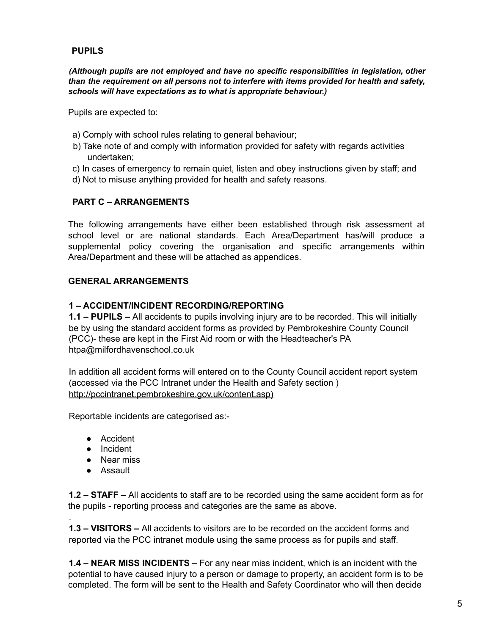#### **PUPILS**

*(Although pupils are not employed and have no specific responsibilities in legislation, other than the requirement on all persons not to interfere with items provided for health and safety, schools will have expectations as to what is appropriate behaviour.)*

Pupils are expected to:

- a) Comply with school rules relating to general behaviour;
- b) Take note of and comply with information provided for safety with regards activities undertaken;
- c) In cases of emergency to remain quiet, listen and obey instructions given by staff; and
- d) Not to misuse anything provided for health and safety reasons.

#### **PART C – ARRANGEMENTS**

The following arrangements have either been established through risk assessment at school level or are national standards. Each Area/Department has/will produce a supplemental policy covering the organisation and specific arrangements within Area/Department and these will be attached as appendices.

#### **GENERAL ARRANGEMENTS**

#### **1 – ACCIDENT/INCIDENT RECORDING/REPORTING**

**1.1 – PUPILS –** All accidents to pupils involving injury are to be recorded. This will initially be by using the standard accident forms as provided by Pembrokeshire County Council (PCC)- these are kept in the First Aid room or with the Headteacher's PA htpa@milfordhavenschool.co.uk

In addition all accident forms will entered on to the County Council accident report system (accessed via the PCC Intranet under the Health and Safety section ) http://pccintranet.pembrokeshire.gov.uk/content.asp)

Reportable incidents are categorised as:-

- Accident
- Incident
- Near miss
- Assault

.

**1.2 – STAFF –** All accidents to staff are to be recorded using the same accident form as for the pupils - reporting process and categories are the same as above.

**1.3 – VISITORS –** All accidents to visitors are to be recorded on the accident forms and reported via the PCC intranet module using the same process as for pupils and staff.

**1.4 – NEAR MISS INCIDENTS –** For any near miss incident, which is an incident with the potential to have caused injury to a person or damage to property, an accident form is to be completed. The form will be sent to the Health and Safety Coordinator who will then decide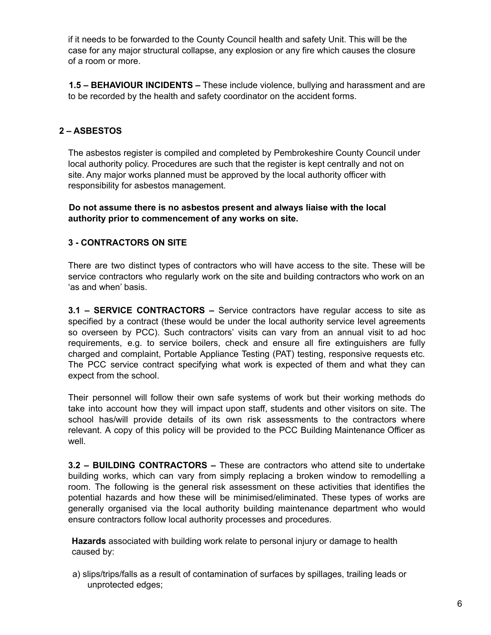if it needs to be forwarded to the County Council health and safety Unit. This will be the case for any major structural collapse, any explosion or any fire which causes the closure of a room or more.

**1.5 – BEHAVIOUR INCIDENTS –** These include violence, bullying and harassment and are to be recorded by the health and safety coordinator on the accident forms.

## **2 – ASBESTOS**

The asbestos register is compiled and completed by Pembrokeshire County Council under local authority policy. Procedures are such that the register is kept centrally and not on site. Any major works planned must be approved by the local authority officer with responsibility for asbestos management.

**Do not assume there is no asbestos present and always liaise with the local authority prior to commencement of any works on site.**

#### **3 - CONTRACTORS ON SITE**

There are two distinct types of contractors who will have access to the site. These will be service contractors who regularly work on the site and building contractors who work on an 'as and when' basis.

**3.1 – SERVICE CONTRACTORS –** Service contractors have regular access to site as specified by a contract (these would be under the local authority service level agreements so overseen by PCC). Such contractors' visits can vary from an annual visit to ad hoc requirements, e.g. to service boilers, check and ensure all fire extinguishers are fully charged and complaint, Portable Appliance Testing (PAT) testing, responsive requests etc. The PCC service contract specifying what work is expected of them and what they can expect from the school.

Their personnel will follow their own safe systems of work but their working methods do take into account how they will impact upon staff, students and other visitors on site. The school has/will provide details of its own risk assessments to the contractors where relevant. A copy of this policy will be provided to the PCC Building Maintenance Officer as well.

**3.2 – BUILDING CONTRACTORS –** These are contractors who attend site to undertake building works, which can vary from simply replacing a broken window to remodelling a room. The following is the general risk assessment on these activities that identifies the potential hazards and how these will be minimised/eliminated. These types of works are generally organised via the local authority building maintenance department who would ensure contractors follow local authority processes and procedures.

**Hazards** associated with building work relate to personal injury or damage to health caused by:

a) slips/trips/falls as a result of contamination of surfaces by spillages, trailing leads or unprotected edges;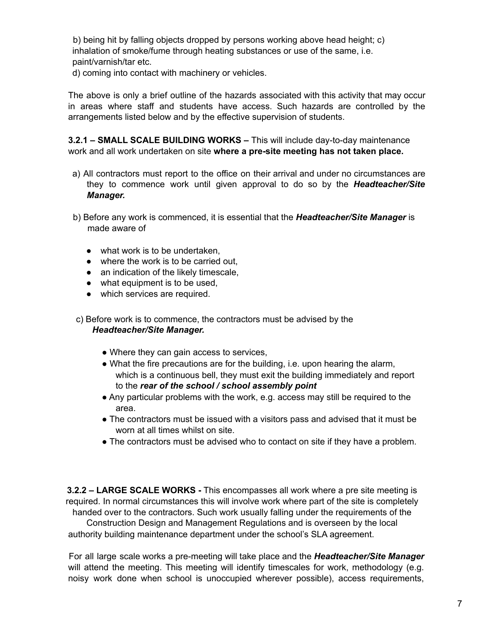b) being hit by falling objects dropped by persons working above head height; c) inhalation of smoke/fume through heating substances or use of the same, i.e. paint/varnish/tar etc.

d) coming into contact with machinery or vehicles.

The above is only a brief outline of the hazards associated with this activity that may occur in areas where staff and students have access. Such hazards are controlled by the arrangements listed below and by the effective supervision of students.

**3.2.1 – SMALL SCALE BUILDING WORKS –** This will include day-to-day maintenance work and all work undertaken on site **where a pre-site meeting has not taken place.**

- a) All contractors must report to the office on their arrival and under no circumstances are they to commence work until given approval to do so by the *Headteacher/Site Manager.*
- b) Before any work is commenced, it is essential that the *Headteacher/Site Manager* is made aware of
	- what work is to be undertaken,
	- where the work is to be carried out.
	- an indication of the likely timescale,
	- what equipment is to be used,
	- which services are required.

c) Before work is to commence, the contractors must be advised by the *Headteacher/Site Manager.*

- Where they can gain access to services,
- What the fire precautions are for the building, i.e. upon hearing the alarm, which is a continuous bell, they must exit the building immediately and report to the *rear of the school / school assembly point*
- Any particular problems with the work, e.g. access may still be required to the area.
- The contractors must be issued with a visitors pass and advised that it must be worn at all times whilst on site.
- The contractors must be advised who to contact on site if they have a problem.

**3.2.2 – LARGE SCALE WORKS -** This encompasses all work where a pre site meeting is required. In normal circumstances this will involve work where part of the site is completely handed over to the contractors. Such work usually falling under the requirements of the Construction Design and Management Regulations and is overseen by the local

authority building maintenance department under the school's SLA agreement.

For all large scale works a pre-meeting will take place and the *Headteacher/Site Manager* will attend the meeting. This meeting will identify timescales for work, methodology (e.g. noisy work done when school is unoccupied wherever possible), access requirements,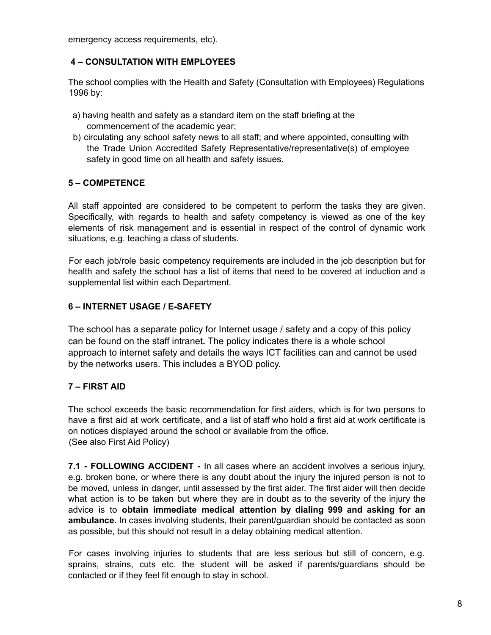emergency access requirements, etc).

#### **4 – CONSULTATION WITH EMPLOYEES**

The school complies with the Health and Safety (Consultation with Employees) Regulations 1996 by:

- a) having health and safety as a standard item on the staff briefing at the commencement of the academic year;
- b) circulating any school safety news to all staff; and where appointed, consulting with the Trade Union Accredited Safety Representative/representative(s) of employee safety in good time on all health and safety issues.

## **5 – COMPETENCE**

All staff appointed are considered to be competent to perform the tasks they are given. Specifically, with regards to health and safety competency is viewed as one of the key elements of risk management and is essential in respect of the control of dynamic work situations, e.g. teaching a class of students.

For each job/role basic competency requirements are included in the job description but for health and safety the school has a list of items that need to be covered at induction and a supplemental list within each Department.

## **6 – INTERNET USAGE / E-SAFETY**

The school has a separate policy for Internet usage / safety and a copy of this policy can be found on the staff intranet*.* The policy indicates there is a whole school approach to internet safety and details the ways ICT facilities can and cannot be used by the networks users. This includes a BYOD policy.

#### **7 – FIRST AID**

The school exceeds the basic recommendation for first aiders, which is for two persons to have a first aid at work certificate, and a list of staff who hold a first aid at work certificate is on notices displayed around the school or available from the office. (See also First Aid Policy)

**7.1 - FOLLOWING ACCIDENT -** In all cases where an accident involves a serious injury, e.g. broken bone, or where there is any doubt about the injury the injured person is not to be moved, unless in danger, until assessed by the first aider. The first aider will then decide what action is to be taken but where they are in doubt as to the severity of the injury the advice is to **obtain immediate medical attention by dialing 999 and asking for an ambulance.** In cases involving students, their parent/guardian should be contacted as soon as possible, but this should not result in a delay obtaining medical attention.

For cases involving injuries to students that are less serious but still of concern, e.g. sprains, strains, cuts etc. the student will be asked if parents/guardians should be contacted or if they feel fit enough to stay in school.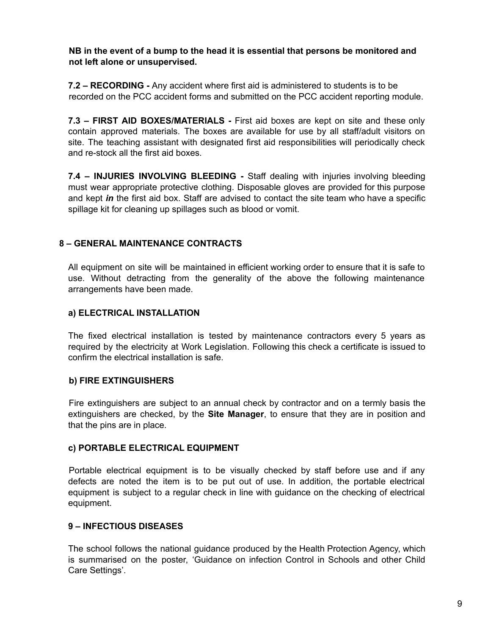**NB in the event of a bump to the head it is essential that persons be monitored and not left alone or unsupervised.**

**7.2 – RECORDING -** Any accident where first aid is administered to students is to be recorded on the PCC accident forms and submitted on the PCC accident reporting module.

**7.3 – FIRST AID BOXES/MATERIALS -** First aid boxes are kept on site and these only contain approved materials. The boxes are available for use by all staff/adult visitors on site. The teaching assistant with designated first aid responsibilities will periodically check and re-stock all the first aid boxes.

**7.4 – INJURIES INVOLVING BLEEDING -** Staff dealing with injuries involving bleeding must wear appropriate protective clothing. Disposable gloves are provided for this purpose and kept *in* the first aid box. Staff are advised to contact the site team who have a specific spillage kit for cleaning up spillages such as blood or vomit.

#### **8 – GENERAL MAINTENANCE CONTRACTS**

All equipment on site will be maintained in efficient working order to ensure that it is safe to use. Without detracting from the generality of the above the following maintenance arrangements have been made.

#### **a) ELECTRICAL INSTALLATION**

The fixed electrical installation is tested by maintenance contractors every 5 years as required by the electricity at Work Legislation. Following this check a certificate is issued to confirm the electrical installation is safe.

#### **b) FIRE EXTINGUISHERS**

Fire extinguishers are subject to an annual check by contractor and on a termly basis the extinguishers are checked, by the **Site Manager**, to ensure that they are in position and that the pins are in place.

#### **c) PORTABLE ELECTRICAL EQUIPMENT**

Portable electrical equipment is to be visually checked by staff before use and if any defects are noted the item is to be put out of use. In addition, the portable electrical equipment is subject to a regular check in line with guidance on the checking of electrical equipment.

#### **9 – INFECTIOUS DISEASES**

The school follows the national guidance produced by the Health Protection Agency, which is summarised on the poster, 'Guidance on infection Control in Schools and other Child Care Settings'.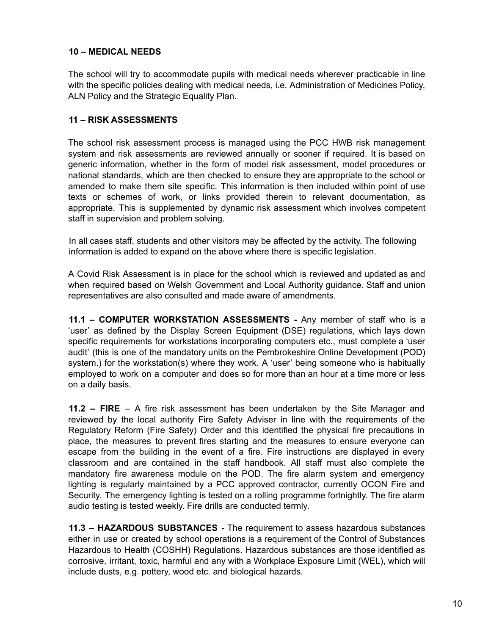#### **10 – MEDICAL NEEDS**

The school will try to accommodate pupils with medical needs wherever practicable in line with the specific policies dealing with medical needs, i.e. Administration of Medicines Policy, ALN Policy and the Strategic Equality Plan.

#### **11 – RISK ASSESSMENTS**

The school risk assessment process is managed using the PCC HWB risk management system and risk assessments are reviewed annually or sooner if required. It is based on generic information, whether in the form of model risk assessment, model procedures or national standards, which are then checked to ensure they are appropriate to the school or amended to make them site specific. This information is then included within point of use texts or schemes of work, or links provided therein to relevant documentation, as appropriate. This is supplemented by dynamic risk assessment which involves competent staff in supervision and problem solving.

In all cases staff, students and other visitors may be affected by the activity. The following information is added to expand on the above where there is specific legislation.

A Covid Risk Assessment is in place for the school which is reviewed and updated as and when required based on Welsh Government and Local Authority guidance. Staff and union representatives are also consulted and made aware of amendments.

**11.1 – COMPUTER WORKSTATION ASSESSMENTS -** Any member of staff who is a 'user' as defined by the Display Screen Equipment (DSE) regulations, which lays down specific requirements for workstations incorporating computers etc., must complete a 'user audit' (this is one of the mandatory units on the Pembrokeshire Online Development (POD) system.) for the workstation(s) where they work. A 'user' being someone who is habitually employed to work on a computer and does so for more than an hour at a time more or less on a daily basis.

**11.2 – FIRE** – A fire risk assessment has been undertaken by the Site Manager and reviewed by the local authority Fire Safety Adviser in line with the requirements of the Regulatory Reform (Fire Safety) Order and this identified the physical fire precautions in place, the measures to prevent fires starting and the measures to ensure everyone can escape from the building in the event of a fire. Fire instructions are displayed in every classroom and are contained in the staff handbook. All staff must also complete the mandatory fire awareness module on the POD. The fire alarm system and emergency lighting is regularly maintained by a PCC approved contractor, currently OCON Fire and Security. The emergency lighting is tested on a rolling programme fortnightly. The fire alarm audio testing is tested weekly. Fire drills are conducted termly.

**11.3 – HAZARDOUS SUBSTANCES -** The requirement to assess hazardous substances either in use or created by school operations is a requirement of the Control of Substances Hazardous to Health (COSHH) Regulations. Hazardous substances are those identified as corrosive, irritant, toxic, harmful and any with a Workplace Exposure Limit (WEL), which will include dusts, e.g. pottery, wood etc. and biological hazards.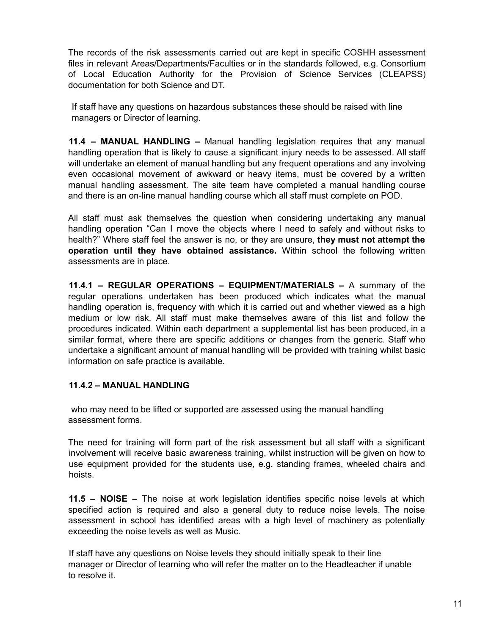The records of the risk assessments carried out are kept in specific COSHH assessment files in relevant Areas/Departments/Faculties or in the standards followed, e.g. Consortium of Local Education Authority for the Provision of Science Services (CLEAPSS) documentation for both Science and DT.

If staff have any questions on hazardous substances these should be raised with line managers or Director of learning.

**11.4 – MANUAL HANDLING –** Manual handling legislation requires that any manual handling operation that is likely to cause a significant injury needs to be assessed. All staff will undertake an element of manual handling but any frequent operations and any involving even occasional movement of awkward or heavy items, must be covered by a written manual handling assessment. The site team have completed a manual handling course and there is an on-line manual handling course which all staff must complete on POD.

All staff must ask themselves the question when considering undertaking any manual handling operation "Can I move the objects where I need to safely and without risks to health?" Where staff feel the answer is no, or they are unsure, **they must not attempt the operation until they have obtained assistance.** Within school the following written assessments are in place.

**11.4.1 – REGULAR OPERATIONS – EQUIPMENT/MATERIALS –** A summary of the regular operations undertaken has been produced which indicates what the manual handling operation is, frequency with which it is carried out and whether viewed as a high medium or low risk. All staff must make themselves aware of this list and follow the procedures indicated. Within each department a supplemental list has been produced, in a similar format, where there are specific additions or changes from the generic. Staff who undertake a significant amount of manual handling will be provided with training whilst basic information on safe practice is available.

#### **11.4.2 – MANUAL HANDLING**

who may need to be lifted or supported are assessed using the manual handling assessment forms.

The need for training will form part of the risk assessment but all staff with a significant involvement will receive basic awareness training, whilst instruction will be given on how to use equipment provided for the students use, e.g. standing frames, wheeled chairs and hoists.

**11.5 – NOISE –** The noise at work legislation identifies specific noise levels at which specified action is required and also a general duty to reduce noise levels. The noise assessment in school has identified areas with a high level of machinery as potentially exceeding the noise levels as well as Music.

If staff have any questions on Noise levels they should initially speak to their line manager or Director of learning who will refer the matter on to the Headteacher if unable to resolve it.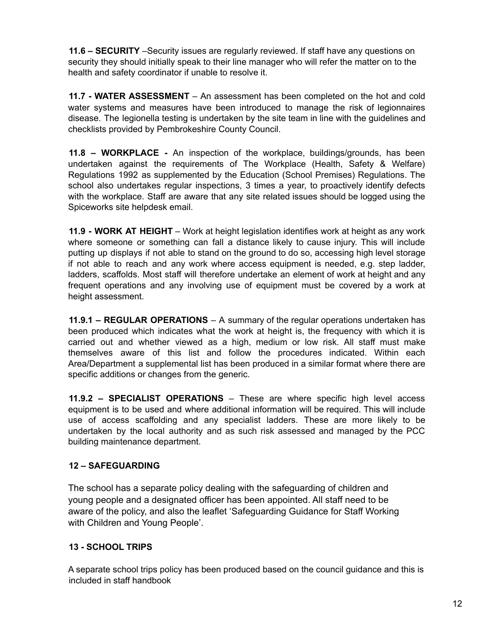**11.6 – SECURITY** –Security issues are regularly reviewed. If staff have any questions on security they should initially speak to their line manager who will refer the matter on to the health and safety coordinator if unable to resolve it.

**11.7 - WATER ASSESSMENT** – An assessment has been completed on the hot and cold water systems and measures have been introduced to manage the risk of legionnaires disease. The legionella testing is undertaken by the site team in line with the guidelines and checklists provided by Pembrokeshire County Council.

**11.8 – WORKPLACE -** An inspection of the workplace, buildings/grounds, has been undertaken against the requirements of The Workplace (Health, Safety & Welfare) Regulations 1992 as supplemented by the Education (School Premises) Regulations. The school also undertakes regular inspections, 3 times a year, to proactively identify defects with the workplace. Staff are aware that any site related issues should be logged using the Spiceworks site helpdesk email.

**11.9 - WORK AT HEIGHT** – Work at height legislation identifies work at height as any work where someone or something can fall a distance likely to cause injury. This will include putting up displays if not able to stand on the ground to do so, accessing high level storage if not able to reach and any work where access equipment is needed, e.g. step ladder, ladders, scaffolds. Most staff will therefore undertake an element of work at height and any frequent operations and any involving use of equipment must be covered by a work at height assessment.

**11.9.1 – REGULAR OPERATIONS** – A summary of the regular operations undertaken has been produced which indicates what the work at height is, the frequency with which it is carried out and whether viewed as a high, medium or low risk. All staff must make themselves aware of this list and follow the procedures indicated. Within each Area/Department a supplemental list has been produced in a similar format where there are specific additions or changes from the generic.

**11.9.2 – SPECIALIST OPERATIONS** – These are where specific high level access equipment is to be used and where additional information will be required. This will include use of access scaffolding and any specialist ladders. These are more likely to be undertaken by the local authority and as such risk assessed and managed by the PCC building maintenance department.

#### **12 – SAFEGUARDING**

The school has a separate policy dealing with the safeguarding of children and young people and a designated officer has been appointed. All staff need to be aware of the policy, and also the leaflet 'Safeguarding Guidance for Staff Working with Children and Young People'.

## **13 - SCHOOL TRIPS**

A separate school trips policy has been produced based on the council guidance and this is included in staff handbook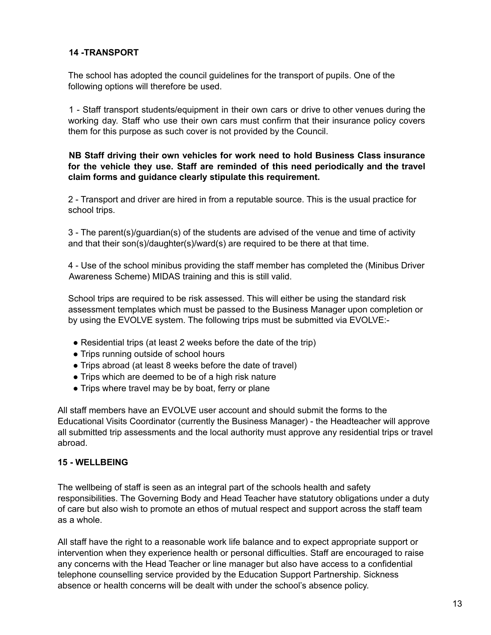#### **14 -TRANSPORT**

The school has adopted the council guidelines for the transport of pupils. One of the following options will therefore be used.

1 - Staff transport students/equipment in their own cars or drive to other venues during the working day. Staff who use their own cars must confirm that their insurance policy covers them for this purpose as such cover is not provided by the Council.

#### **NB Staff driving their own vehicles for work need to hold Business Class insurance for the vehicle they use. Staff are reminded of this need periodically and the travel claim forms and guidance clearly stipulate this requirement.**

2 - Transport and driver are hired in from a reputable source. This is the usual practice for school trips.

3 - The parent(s)/guardian(s) of the students are advised of the venue and time of activity and that their son(s)/daughter(s)/ward(s) are required to be there at that time.

4 - Use of the school minibus providing the staff member has completed the (Minibus Driver Awareness Scheme) MIDAS training and this is still valid.

School trips are required to be risk assessed. This will either be using the standard risk assessment templates which must be passed to the Business Manager upon completion or by using the EVOLVE system. The following trips must be submitted via EVOLVE:-

- Residential trips (at least 2 weeks before the date of the trip)
- Trips running outside of school hours
- Trips abroad (at least 8 weeks before the date of travel)
- Trips which are deemed to be of a high risk nature
- Trips where travel may be by boat, ferry or plane

All staff members have an EVOLVE user account and should submit the forms to the Educational Visits Coordinator (currently the Business Manager) - the Headteacher will approve all submitted trip assessments and the local authority must approve any residential trips or travel abroad.

#### **15 - WELLBEING**

The wellbeing of staff is seen as an integral part of the schools health and safety responsibilities. The Governing Body and Head Teacher have statutory obligations under a duty of care but also wish to promote an ethos of mutual respect and support across the staff team as a whole.

All staff have the right to a reasonable work life balance and to expect appropriate support or intervention when they experience health or personal difficulties. Staff are encouraged to raise any concerns with the Head Teacher or line manager but also have access to a confidential telephone counselling service provided by the Education Support Partnership. Sickness absence or health concerns will be dealt with under the school's absence policy.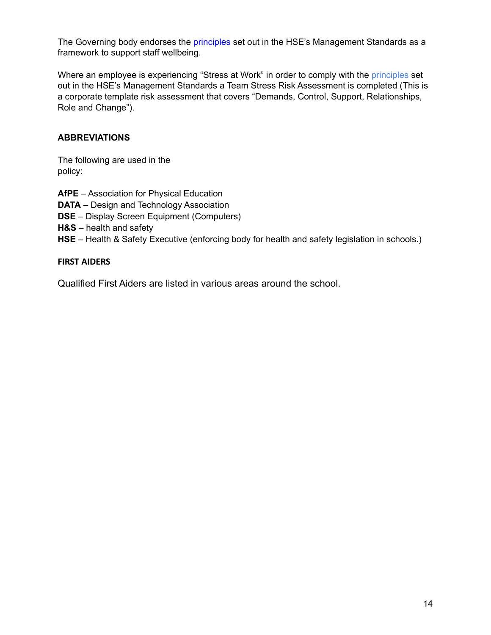The Governing body endorses the principles set out in the HSE's Management Standards as a framework to support staff wellbeing.

Where an employee is experiencing "Stress at Work" in order to comply with the principles set out in the HSE's Management Standards a Team Stress Risk Assessment is completed (This is a corporate template risk assessment that covers "Demands, Control, Support, Relationships, Role and Change").

#### **ABBREVIATIONS**

The following are used in the policy:

**AfPE** – Association for Physical Education **DATA** – Design and Technology Association **DSE** – Display Screen Equipment (Computers) **H&S** – health and safety **HSE** – Health & Safety Executive (enforcing body for health and safety legislation in schools.)

#### **FIRST AIDERS**

Qualified First Aiders are listed in various areas around the school.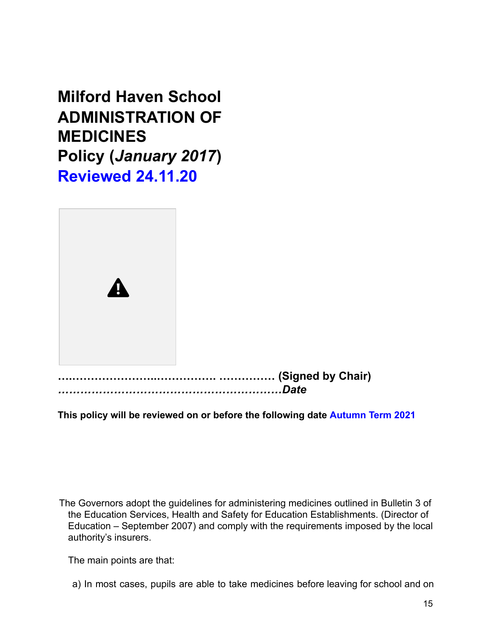**Milford Haven School ADMINISTRATION OF MEDICINES Policy (***January 2017***) Reviewed 24.11.20**



**This policy will be reviewed on or before the following date Autumn Term 2021**

The Governors adopt the guidelines for administering medicines outlined in Bulletin 3 of the Education Services, Health and Safety for Education Establishments. (Director of Education – September 2007) and comply with the requirements imposed by the local authority's insurers.

The main points are that:

a) In most cases, pupils are able to take medicines before leaving for school and on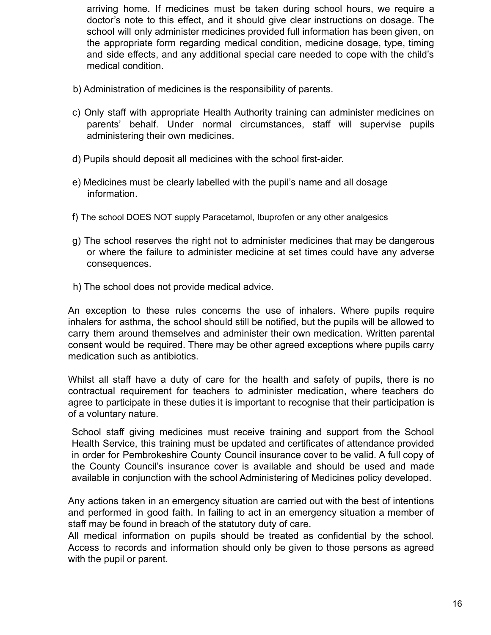arriving home. If medicines must be taken during school hours, we require a doctor's note to this effect, and it should give clear instructions on dosage. The school will only administer medicines provided full information has been given, on the appropriate form regarding medical condition, medicine dosage, type, timing and side effects, and any additional special care needed to cope with the child's medical condition.

- b) Administration of medicines is the responsibility of parents.
- c) Only staff with appropriate Health Authority training can administer medicines on parents' behalf. Under normal circumstances, staff will supervise pupils administering their own medicines.
- d) Pupils should deposit all medicines with the school first-aider.
- e) Medicines must be clearly labelled with the pupil's name and all dosage information.
- f) The school DOES NOT supply Paracetamol, Ibuprofen or any other analgesics
- g) The school reserves the right not to administer medicines that may be dangerous or where the failure to administer medicine at set times could have any adverse consequences.
- h) The school does not provide medical advice.

An exception to these rules concerns the use of inhalers. Where pupils require inhalers for asthma, the school should still be notified, but the pupils will be allowed to carry them around themselves and administer their own medication. Written parental consent would be required. There may be other agreed exceptions where pupils carry medication such as antibiotics.

Whilst all staff have a duty of care for the health and safety of pupils, there is no contractual requirement for teachers to administer medication, where teachers do agree to participate in these duties it is important to recognise that their participation is of a voluntary nature.

School staff giving medicines must receive training and support from the School Health Service, this training must be updated and certificates of attendance provided in order for Pembrokeshire County Council insurance cover to be valid. A full copy of the County Council's insurance cover is available and should be used and made available in conjunction with the school Administering of Medicines policy developed.

Any actions taken in an emergency situation are carried out with the best of intentions and performed in good faith. In failing to act in an emergency situation a member of staff may be found in breach of the statutory duty of care.

All medical information on pupils should be treated as confidential by the school. Access to records and information should only be given to those persons as agreed with the pupil or parent.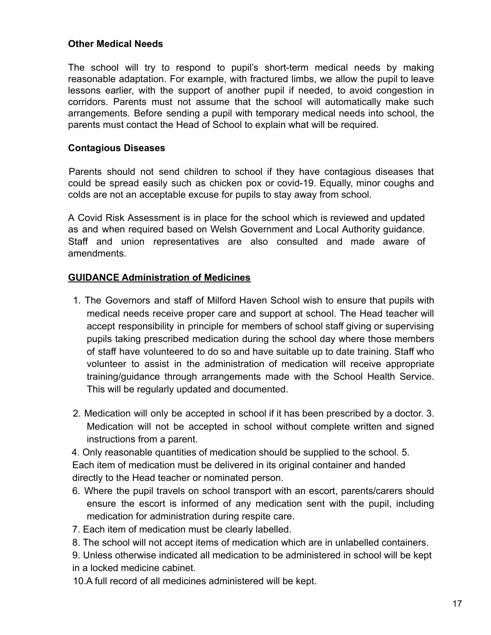## **Other Medical Needs**

The school will try to respond to pupil's short-term medical needs by making reasonable adaptation. For example, with fractured limbs, we allow the pupil to leave lessons earlier, with the support of another pupil if needed, to avoid congestion in corridors. Parents must not assume that the school will automatically make such arrangements. Before sending a pupil with temporary medical needs into school, the parents must contact the Head of School to explain what will be required.

## **Contagious Diseases**

Parents should not send children to school if they have contagious diseases that could be spread easily such as chicken pox or covid-19. Equally, minor coughs and colds are not an acceptable excuse for pupils to stay away from school.

A Covid Risk Assessment is in place for the school which is reviewed and updated as and when required based on Welsh Government and Local Authority guidance. Staff and union representatives are also consulted and made aware of amendments.

## **GUIDANCE Administration of Medicines**

- 1. The Governors and staff of Milford Haven School wish to ensure that pupils with medical needs receive proper care and support at school. The Head teacher will accept responsibility in principle for members of school staff giving or supervising pupils taking prescribed medication during the school day where those members of staff have volunteered to do so and have suitable up to date training. Staff who volunteer to assist in the administration of medication will receive appropriate training/guidance through arrangements made with the School Health Service. This will be regularly updated and documented.
- 2. Medication will only be accepted in school if it has been prescribed by a doctor. 3. Medication will not be accepted in school without complete written and signed instructions from a parent.

4. Only reasonable quantities of medication should be supplied to the school. 5. Each item of medication must be delivered in its original container and handed directly to the Head teacher or nominated person.

- 6. Where the pupil travels on school transport with an escort, parents/carers should ensure the escort is informed of any medication sent with the pupil, including medication for administration during respite care.
- 7. Each item of medication must be clearly labelled.
- 8. The school will not accept items of medication which are in unlabelled containers.

9. Unless otherwise indicated all medication to be administered in school will be kept in a locked medicine cabinet.

10.A full record of all medicines administered will be kept.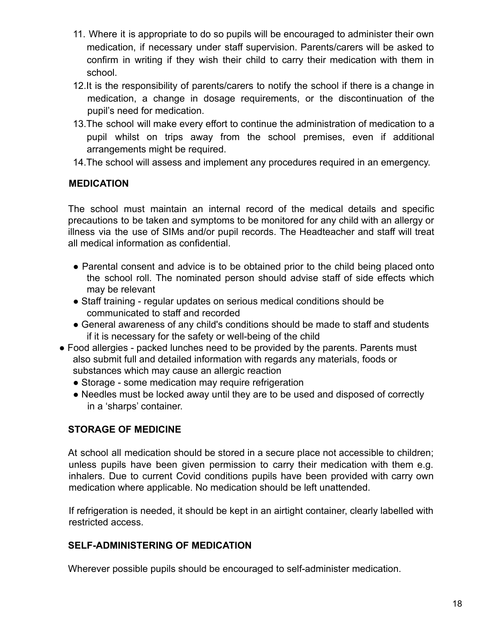- 11. Where it is appropriate to do so pupils will be encouraged to administer their own medication, if necessary under staff supervision. Parents/carers will be asked to confirm in writing if they wish their child to carry their medication with them in school.
- 12.It is the responsibility of parents/carers to notify the school if there is a change in medication, a change in dosage requirements, or the discontinuation of the pupil's need for medication.
- 13.The school will make every effort to continue the administration of medication to a pupil whilst on trips away from the school premises, even if additional arrangements might be required.
- 14.The school will assess and implement any procedures required in an emergency.

## **MEDICATION**

The school must maintain an internal record of the medical details and specific precautions to be taken and symptoms to be monitored for any child with an allergy or illness via the use of SIMs and/or pupil records. The Headteacher and staff will treat all medical information as confidential.

- Parental consent and advice is to be obtained prior to the child being placed onto the school roll. The nominated person should advise staff of side effects which may be relevant
- Staff training regular updates on serious medical conditions should be communicated to staff and recorded
- General awareness of any child's conditions should be made to staff and students if it is necessary for the safety or well-being of the child
- Food allergies packed lunches need to be provided by the parents. Parents must also submit full and detailed information with regards any materials, foods or substances which may cause an allergic reaction
	- Storage some medication may require refrigeration
	- Needles must be locked away until they are to be used and disposed of correctly in a 'sharps' container.

## **STORAGE OF MEDICINE**

At school all medication should be stored in a secure place not accessible to children; unless pupils have been given permission to carry their medication with them e.g. inhalers. Due to current Covid conditions pupils have been provided with carry own medication where applicable. No medication should be left unattended.

If refrigeration is needed, it should be kept in an airtight container, clearly labelled with restricted access.

## **SELF-ADMINISTERING OF MEDICATION**

Wherever possible pupils should be encouraged to self-administer medication.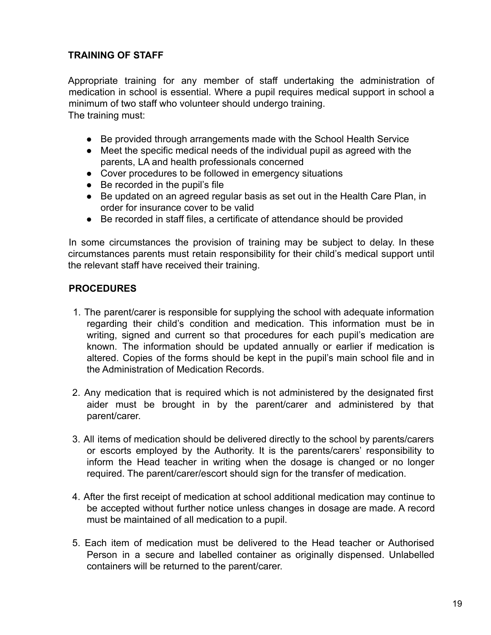## **TRAINING OF STAFF**

Appropriate training for any member of staff undertaking the administration of medication in school is essential. Where a pupil requires medical support in school a minimum of two staff who volunteer should undergo training. The training must:

- Be provided through arrangements made with the School Health Service
- Meet the specific medical needs of the individual pupil as agreed with the parents, LA and health professionals concerned
- Cover procedures to be followed in emergency situations
- Be recorded in the pupil's file
- Be updated on an agreed regular basis as set out in the Health Care Plan, in order for insurance cover to be valid
- Be recorded in staff files, a certificate of attendance should be provided

In some circumstances the provision of training may be subject to delay. In these circumstances parents must retain responsibility for their child's medical support until the relevant staff have received their training.

## **PROCEDURES**

- 1. The parent/carer is responsible for supplying the school with adequate information regarding their child's condition and medication. This information must be in writing, signed and current so that procedures for each pupil's medication are known. The information should be updated annually or earlier if medication is altered. Copies of the forms should be kept in the pupil's main school file and in the Administration of Medication Records.
- 2. Any medication that is required which is not administered by the designated first aider must be brought in by the parent/carer and administered by that parent/carer.
- 3. All items of medication should be delivered directly to the school by parents/carers or escorts employed by the Authority. It is the parents/carers' responsibility to inform the Head teacher in writing when the dosage is changed or no longer required. The parent/carer/escort should sign for the transfer of medication.
- 4. After the first receipt of medication at school additional medication may continue to be accepted without further notice unless changes in dosage are made. A record must be maintained of all medication to a pupil.
- 5. Each item of medication must be delivered to the Head teacher or Authorised Person in a secure and labelled container as originally dispensed. Unlabelled containers will be returned to the parent/carer.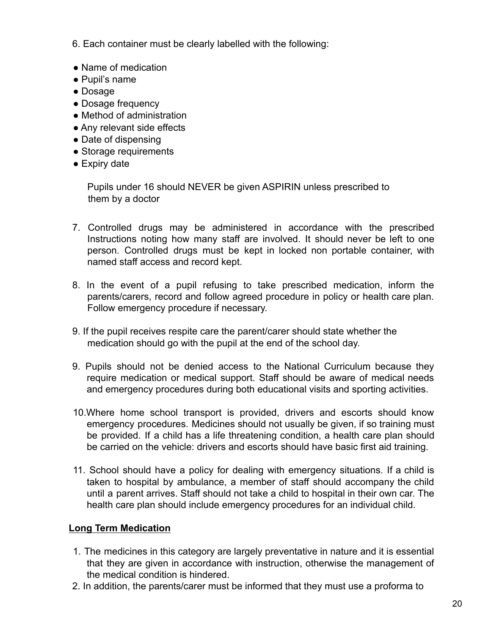6. Each container must be clearly labelled with the following:

- Name of medication
- Pupil's name
- Dosage
- Dosage frequency
- Method of administration
- Any relevant side effects
- Date of dispensing
- Storage requirements
- Expiry date

Pupils under 16 should NEVER be given ASPIRIN unless prescribed to them by a doctor

- 7. Controlled drugs may be administered in accordance with the prescribed Instructions noting how many staff are involved. It should never be left to one person. Controlled drugs must be kept in locked non portable container, with named staff access and record kept.
- 8. In the event of a pupil refusing to take prescribed medication, inform the parents/carers, record and follow agreed procedure in policy or health care plan. Follow emergency procedure if necessary.
- 9. If the pupil receives respite care the parent/carer should state whether the medication should go with the pupil at the end of the school day.
- 9. Pupils should not be denied access to the National Curriculum because they require medication or medical support. Staff should be aware of medical needs and emergency procedures during both educational visits and sporting activities.
- 10.Where home school transport is provided, drivers and escorts should know emergency procedures. Medicines should not usually be given, if so training must be provided. If a child has a life threatening condition, a health care plan should be carried on the vehicle: drivers and escorts should have basic first aid training.
- 11. School should have a policy for dealing with emergency situations. If a child is taken to hospital by ambulance, a member of staff should accompany the child until a parent arrives. Staff should not take a child to hospital in their own car. The health care plan should include emergency procedures for an individual child.

## **Long Term Medication**

- 1. The medicines in this category are largely preventative in nature and it is essential that they are given in accordance with instruction, otherwise the management of the medical condition is hindered.
- 2. In addition, the parents/carer must be informed that they must use a proforma to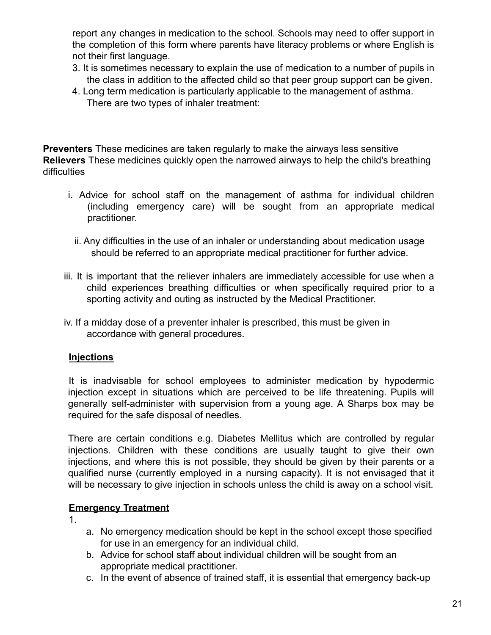report any changes in medication to the school. Schools may need to offer support in the completion of this form where parents have literacy problems or where English is not their first language.

- 3. It is sometimes necessary to explain the use of medication to a number of pupils in the class in addition to the affected child so that peer group support can be given.
- 4. Long term medication is particularly applicable to the management of asthma. There are two types of inhaler treatment:

**Preventers** These medicines are taken regularly to make the airways less sensitive **Relievers** These medicines quickly open the narrowed airways to help the child's breathing difficulties

- i. Advice for school staff on the management of asthma for individual children (including emergency care) will be sought from an appropriate medical practitioner.
	- ii. Any difficulties in the use of an inhaler or understanding about medication usage should be referred to an appropriate medical practitioner for further advice.
- iii. It is important that the reliever inhalers are immediately accessible for use when a child experiences breathing difficulties or when specifically required prior to a sporting activity and outing as instructed by the Medical Practitioner.
- iv. If a midday dose of a preventer inhaler is prescribed, this must be given in accordance with general procedures.

## **Injections**

It is inadvisable for school employees to administer medication by hypodermic injection except in situations which are perceived to be life threatening. Pupils will generally self-administer with supervision from a young age. A Sharps box may be required for the safe disposal of needles.

There are certain conditions e.g. Diabetes Mellitus which are controlled by regular injections. Children with these conditions are usually taught to give their own injections, and where this is not possible, they should be given by their parents or a qualified nurse (currently employed in a nursing capacity). It is not envisaged that it will be necessary to give injection in schools unless the child is away on a school visit.

## **Emergency Treatment**

1.

- a. No emergency medication should be kept in the school except those specified for use in an emergency for an individual child.
- b. Advice for school staff about individual children will be sought from an appropriate medical practitioner.
- c. In the event of absence of trained staff, it is essential that emergency back-up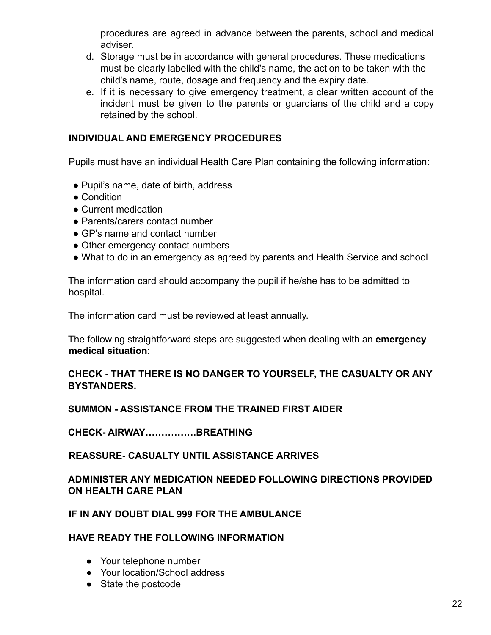procedures are agreed in advance between the parents, school and medical adviser.

- d. Storage must be in accordance with general procedures. These medications must be clearly labelled with the child's name, the action to be taken with the child's name, route, dosage and frequency and the expiry date.
- e. If it is necessary to give emergency treatment, a clear written account of the incident must be given to the parents or guardians of the child and a copy retained by the school.

## **INDIVIDUAL AND EMERGENCY PROCEDURES**

Pupils must have an individual Health Care Plan containing the following information:

- Pupil's name, date of birth, address
- Condition
- Current medication
- Parents/carers contact number
- GP's name and contact number
- Other emergency contact numbers
- What to do in an emergency as agreed by parents and Health Service and school

The information card should accompany the pupil if he/she has to be admitted to hospital.

The information card must be reviewed at least annually.

The following straightforward steps are suggested when dealing with an **emergency medical situation**:

## **CHECK - THAT THERE IS NO DANGER TO YOURSELF, THE CASUALTY OR ANY BYSTANDERS.**

## **SUMMON - ASSISTANCE FROM THE TRAINED FIRST AIDER**

**CHECK- AIRWAY…………….BREATHING**

## **REASSURE- CASUALTY UNTIL ASSISTANCE ARRIVES**

## **ADMINISTER ANY MEDICATION NEEDED FOLLOWING DIRECTIONS PROVIDED ON HEALTH CARE PLAN**

## **IF IN ANY DOUBT DIAL 999 FOR THE AMBULANCE**

#### **HAVE READY THE FOLLOWING INFORMATION**

- Your telephone number
- Your location/School address
- State the postcode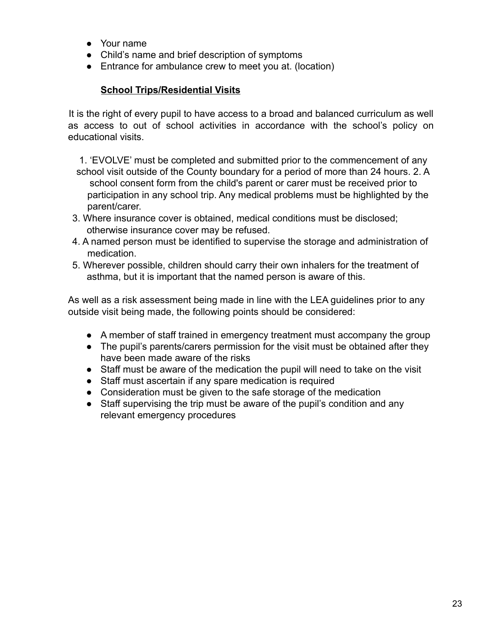- Your name
- Child's name and brief description of symptoms
- Entrance for ambulance crew to meet you at. (location)

## **School Trips/Residential Visits**

It is the right of every pupil to have access to a broad and balanced curriculum as well as access to out of school activities in accordance with the school's policy on educational visits.

1. 'EVOLVE' must be completed and submitted prior to the commencement of any school visit outside of the County boundary for a period of more than 24 hours. 2. A school consent form from the child's parent or carer must be received prior to participation in any school trip. Any medical problems must be highlighted by the parent/carer.

- 3. Where insurance cover is obtained, medical conditions must be disclosed; otherwise insurance cover may be refused.
- 4. A named person must be identified to supervise the storage and administration of medication.
- 5. Wherever possible, children should carry their own inhalers for the treatment of asthma, but it is important that the named person is aware of this.

As well as a risk assessment being made in line with the LEA guidelines prior to any outside visit being made, the following points should be considered:

- A member of staff trained in emergency treatment must accompany the group
- The pupil's parents/carers permission for the visit must be obtained after they have been made aware of the risks
- Staff must be aware of the medication the pupil will need to take on the visit
- Staff must ascertain if any spare medication is required
- Consideration must be given to the safe storage of the medication
- Staff supervising the trip must be aware of the pupil's condition and any relevant emergency procedures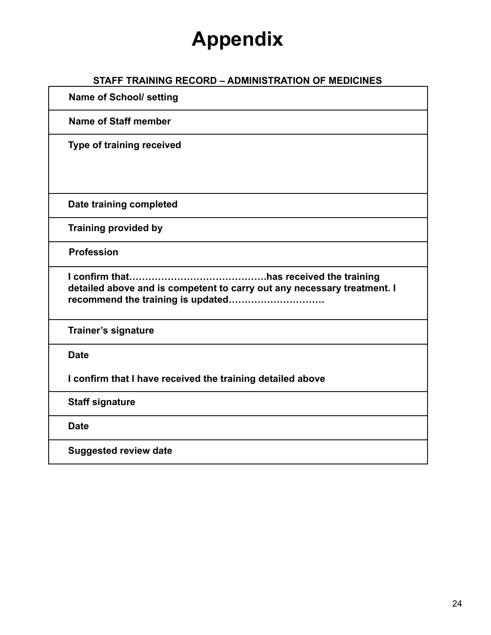# **Appendix**

## **STAFF TRAINING RECORD – ADMINISTRATION OF MEDICINES**

**Name of School/ setting Name of Staff member Type of training received Date training completed Training provided by Profession I confirm that…………………………………….has received the training detailed above and is competent to carry out any necessary treatment. I recommend the training is updated………………………… Trainer's signature Date I confirm that I have received the training detailed above Staff signature Date Suggested review date**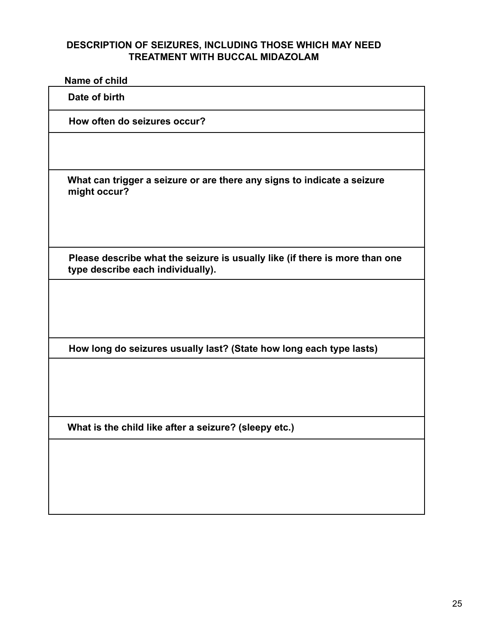## **DESCRIPTION OF SEIZURES, INCLUDING THOSE WHICH MAY NEED TREATMENT WITH BUCCAL MIDAZOLAM**

| Name of child                                                                                                    |
|------------------------------------------------------------------------------------------------------------------|
| Date of birth                                                                                                    |
| How often do seizures occur?                                                                                     |
|                                                                                                                  |
| What can trigger a seizure or are there any signs to indicate a seizure<br>might occur?                          |
| Please describe what the seizure is usually like (if there is more than one<br>type describe each individually). |
|                                                                                                                  |
| How long do seizures usually last? (State how long each type lasts)                                              |
|                                                                                                                  |
| What is the child like after a seizure? (sleepy etc.)                                                            |
|                                                                                                                  |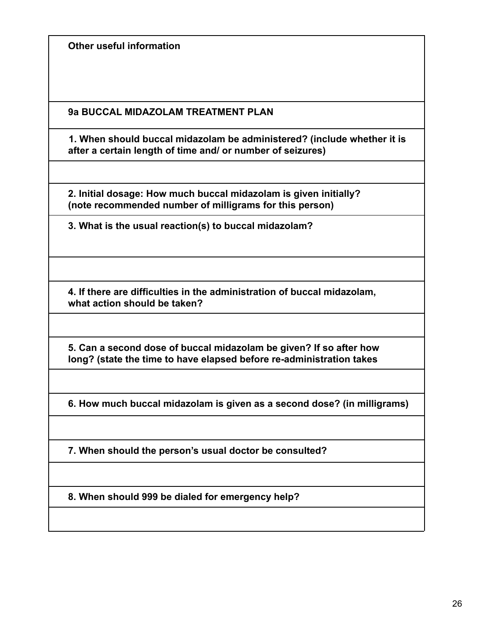**Other useful information**

**9a BUCCAL MIDAZOLAM TREATMENT PLAN**

**1. When should buccal midazolam be administered? (include whether it is after a certain length of time and/ or number of seizures)**

**2. Initial dosage: How much buccal midazolam is given initially? (note recommended number of milligrams for this person)**

**3. What is the usual reaction(s) to buccal midazolam?**

**4. If there are difficulties in the administration of buccal midazolam, what action should be taken?**

**5. Can a second dose of buccal midazolam be given? If so after how long? (state the time to have elapsed before re-administration takes**

**6. How much buccal midazolam is given as a second dose? (in milligrams)**

**7. When should the person's usual doctor be consulted?**

**8. When should 999 be dialed for emergency help?**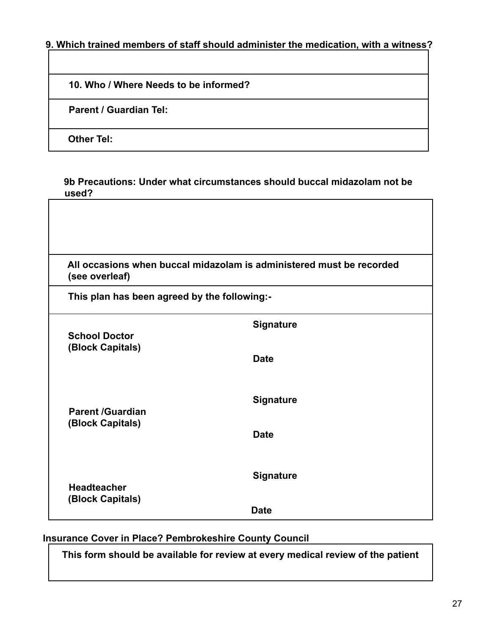## **9. Which trained members of staff should administer the medication, with a witness?**

|  |  |  | 10. Who / Where Needs to be informed? |
|--|--|--|---------------------------------------|
|  |  |  |                                       |

**Parent / Guardian Tel:**

**Other Tel:**

 $\Gamma$ 

| 9b Precautions: Under what circumstances should buccal midazolam not be |  |
|-------------------------------------------------------------------------|--|
| used?                                                                   |  |

| (see overleaf)                               | All occasions when buccal midazolam is administered must be recorded |
|----------------------------------------------|----------------------------------------------------------------------|
| This plan has been agreed by the following:- |                                                                      |
| <b>School Doctor</b>                         | <b>Signature</b>                                                     |
| (Block Capitals)                             | <b>Date</b>                                                          |
| <b>Parent /Guardian</b>                      | <b>Signature</b>                                                     |
| (Block Capitals)                             | <b>Date</b>                                                          |
| <b>Headteacher</b>                           | <b>Signature</b>                                                     |
| (Block Capitals)                             | <b>Date</b>                                                          |

## **Insurance Cover in Place? Pembrokeshire County Council**

**This form should be available for review at every medical review of the patient**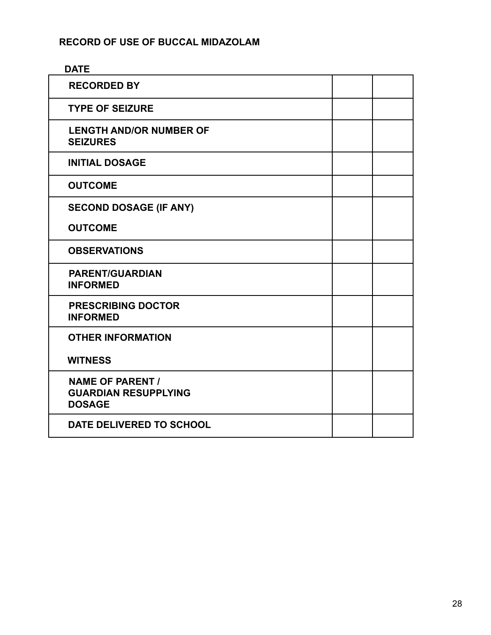## **RECORD OF USE OF BUCCAL MIDAZOLAM**

| <b>DATE</b>                                                             |  |
|-------------------------------------------------------------------------|--|
| <b>RECORDED BY</b>                                                      |  |
| <b>TYPE OF SEIZURE</b>                                                  |  |
| <b>LENGTH AND/OR NUMBER OF</b><br><b>SEIZURES</b>                       |  |
| <b>INITIAL DOSAGE</b>                                                   |  |
| <b>OUTCOME</b>                                                          |  |
| <b>SECOND DOSAGE (IF ANY)</b>                                           |  |
| <b>OUTCOME</b>                                                          |  |
| <b>OBSERVATIONS</b>                                                     |  |
| <b>PARENT/GUARDIAN</b><br><b>INFORMED</b>                               |  |
| <b>PRESCRIBING DOCTOR</b><br><b>INFORMED</b>                            |  |
| <b>OTHER INFORMATION</b>                                                |  |
| <b>WITNESS</b>                                                          |  |
| <b>NAME OF PARENT /</b><br><b>GUARDIAN RESUPPLYING</b><br><b>DOSAGE</b> |  |
| DATE DELIVERED TO SCHOOL                                                |  |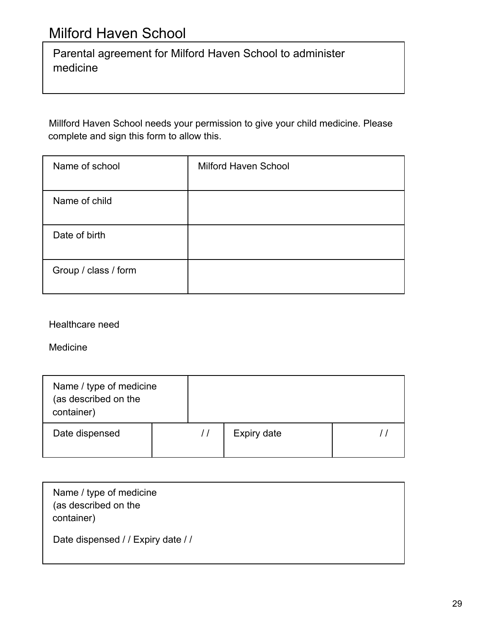Parental agreement for Milford Haven School to administer medicine

Millford Haven School needs your permission to give your child medicine. Please complete and sign this form to allow this.

| Name of school       | <b>Milford Haven School</b> |
|----------------------|-----------------------------|
| Name of child        |                             |
| Date of birth        |                             |
| Group / class / form |                             |

Healthcare need

Medicine

| Name / type of medicine<br>(as described on the<br>container) |  |             |  |
|---------------------------------------------------------------|--|-------------|--|
| Date dispensed                                                |  | Expiry date |  |

| Name / type of medicine<br>(as described on the<br>container) |  |
|---------------------------------------------------------------|--|
| Date dispensed / / Expiry date / /                            |  |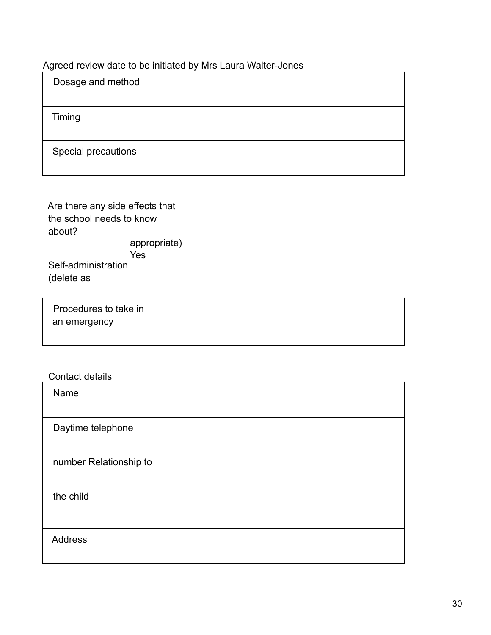## Agreed review date to be initiated by Mrs Laura Walter-Jones

| Dosage and method   |  |
|---------------------|--|
| Timing              |  |
| Special precautions |  |

| Are there any side effects that |  |  |
|---------------------------------|--|--|
| the school needs to know        |  |  |
| about?                          |  |  |
| appropriate)                    |  |  |
| Yes                             |  |  |
| Self-administration             |  |  |
| (delete as                      |  |  |
|                                 |  |  |

| Procedures to take in |  |
|-----------------------|--|
| an emergency          |  |
|                       |  |

## Contact details

| Name                   |  |
|------------------------|--|
| Daytime telephone      |  |
| number Relationship to |  |
| the child              |  |
| <b>Address</b>         |  |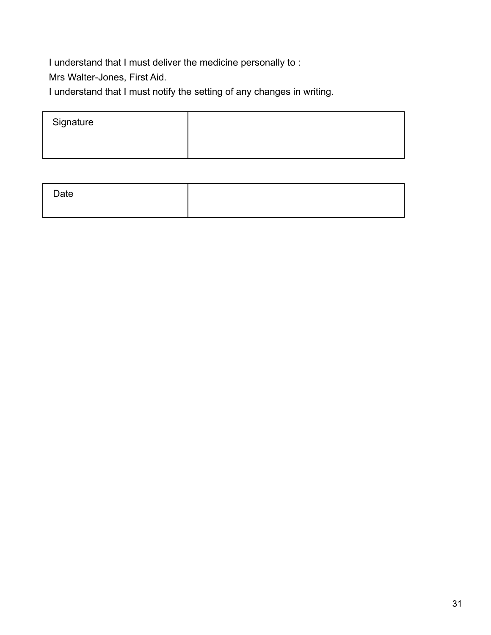I understand that I must deliver the medicine personally to :

Mrs Walter-Jones, First Aid.

I understand that I must notify the setting of any changes in writing.

| Signature |  |
|-----------|--|
|           |  |
|           |  |

| Date |  |
|------|--|
|      |  |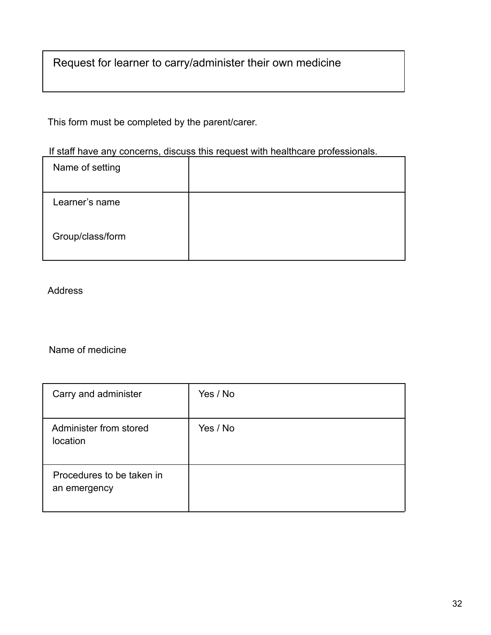Request for learner to carry/administer their own medicine

This form must be completed by the parent/carer.

If staff have any concerns, discuss this request with healthcare professionals.

| Name of setting  |  |
|------------------|--|
| Learner's name   |  |
| Group/class/form |  |

Address

Name of medicine

| Carry and administer                      | Yes / No |
|-------------------------------------------|----------|
| Administer from stored<br>location        | Yes / No |
| Procedures to be taken in<br>an emergency |          |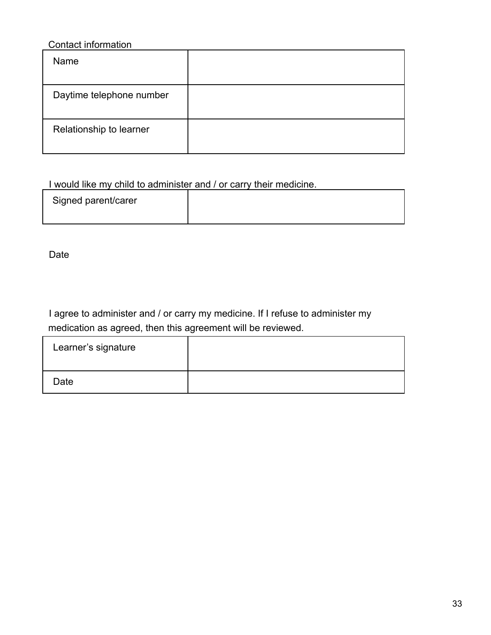## Contact information

| Name                     |  |
|--------------------------|--|
| Daytime telephone number |  |
| Relationship to learner  |  |

## I would like my child to administer and / or carry their medicine.

| Signed parent/carer |  |
|---------------------|--|
|                     |  |

Date

I agree to administer and / or carry my medicine. If I refuse to administer my medication as agreed, then this agreement will be reviewed.

| Learner's signature |  |
|---------------------|--|
| Date                |  |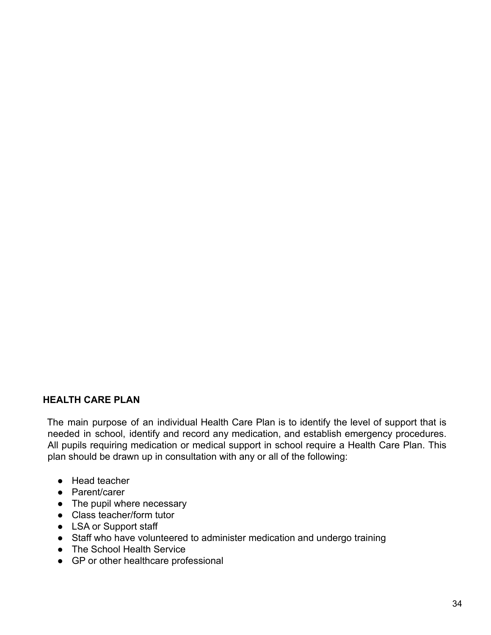## **HEALTH CARE PLAN**

The main purpose of an individual Health Care Plan is to identify the level of support that is needed in school, identify and record any medication, and establish emergency procedures. All pupils requiring medication or medical support in school require a Health Care Plan. This plan should be drawn up in consultation with any or all of the following:

- Head teacher
- Parent/carer
- The pupil where necessary
- Class teacher/form tutor
- LSA or Support staff
- Staff who have volunteered to administer medication and undergo training
- The School Health Service
- GP or other healthcare professional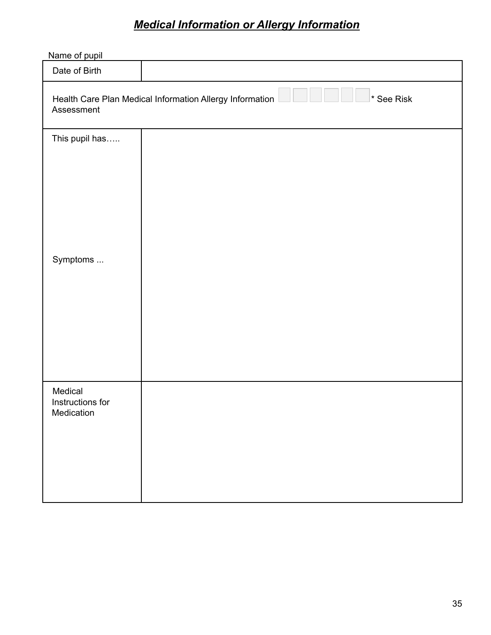## *Medical Information or Allergy Information*

| Name of pupil                             |                                                                        |
|-------------------------------------------|------------------------------------------------------------------------|
| Date of Birth                             |                                                                        |
| Assessment                                | Health Care Plan Medical Information Allergy Information<br>* See Risk |
| This pupil has                            |                                                                        |
| Symptoms                                  |                                                                        |
| Medical<br>Instructions for<br>Medication |                                                                        |
|                                           |                                                                        |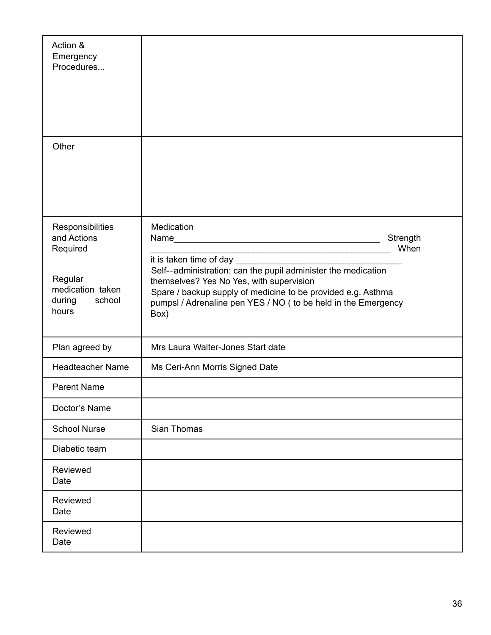| Action &<br>Emergency<br>Procedures                                                                     |                                                                                                                                                                                                                                                                                                      |                  |
|---------------------------------------------------------------------------------------------------------|------------------------------------------------------------------------------------------------------------------------------------------------------------------------------------------------------------------------------------------------------------------------------------------------------|------------------|
| Other                                                                                                   |                                                                                                                                                                                                                                                                                                      |                  |
| Responsibilities<br>and Actions<br>Required<br>Regular<br>medication taken<br>school<br>during<br>hours | Medication<br>Name<br>it is taken time of day<br>Self--administration: can the pupil administer the medication<br>themselves? Yes No Yes, with supervision<br>Spare / backup supply of medicine to be provided e.g. Asthma<br>pumpsl / Adrenaline pen YES / NO ( to be held in the Emergency<br>Box) | Strength<br>When |
| Plan agreed by                                                                                          | Mrs Laura Walter-Jones Start date                                                                                                                                                                                                                                                                    |                  |
| <b>Headteacher Name</b>                                                                                 | Ms Ceri-Ann Morris Signed Date                                                                                                                                                                                                                                                                       |                  |
| <b>Parent Name</b>                                                                                      |                                                                                                                                                                                                                                                                                                      |                  |
| Doctor's Name                                                                                           |                                                                                                                                                                                                                                                                                                      |                  |
| <b>School Nurse</b>                                                                                     | Sian Thomas                                                                                                                                                                                                                                                                                          |                  |
| Diabetic team                                                                                           |                                                                                                                                                                                                                                                                                                      |                  |
| Reviewed<br>Date                                                                                        |                                                                                                                                                                                                                                                                                                      |                  |
| Reviewed<br>Date                                                                                        |                                                                                                                                                                                                                                                                                                      |                  |
| Reviewed<br>Date                                                                                        |                                                                                                                                                                                                                                                                                                      |                  |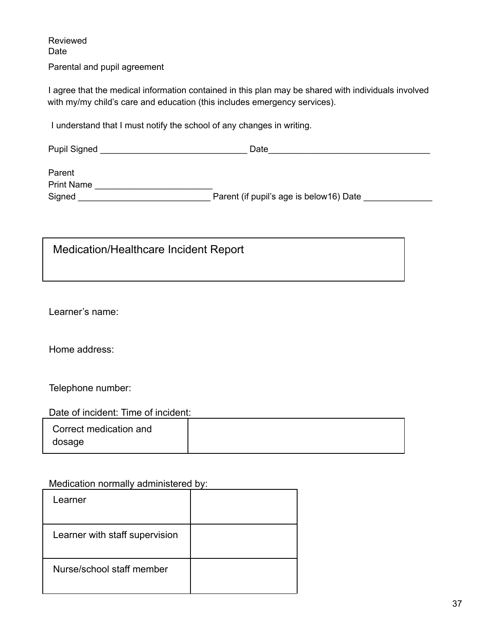Reviewed Date Parental and pupil agreement

I agree that the medical information contained in this plan may be shared with individuals involved with my/my child's care and education (this includes emergency services).

I understand that I must notify the school of any changes in writing.

Pupil Signed **Example 20** Date

Parent Print Name \_\_\_\_\_\_\_\_\_\_\_\_\_\_\_\_\_\_\_\_\_\_\_\_ Signed \_\_\_\_\_\_\_\_\_\_\_\_\_\_\_\_\_\_\_\_\_\_\_\_\_\_\_ Parent (if pupil's age is below16) Date \_\_\_\_\_\_\_\_\_\_\_\_\_\_

Medication/Healthcare Incident Report

Learner's name:

Home address:

Telephone number:

| Date of incident: Time of incident: |  |
|-------------------------------------|--|
|-------------------------------------|--|

| Correct medication and |  |
|------------------------|--|
| dosage                 |  |

Medication normally administered by:

| Learner                        |  |
|--------------------------------|--|
| Learner with staff supervision |  |
| Nurse/school staff member      |  |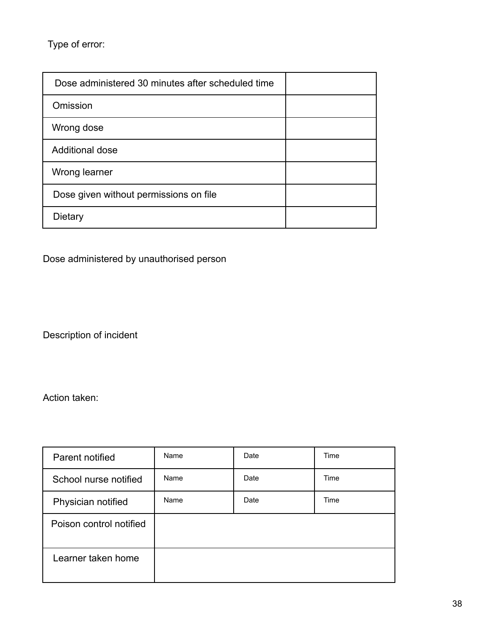Type of error:

| Dose administered 30 minutes after scheduled time |  |
|---------------------------------------------------|--|
| Omission                                          |  |
| Wrong dose                                        |  |
| <b>Additional dose</b>                            |  |
| Wrong learner                                     |  |
| Dose given without permissions on file            |  |
| Dietary                                           |  |

## Dose administered by unauthorised person

Description of incident

Action taken:

| Parent notified         | Name | Date | Time |
|-------------------------|------|------|------|
| School nurse notified   | Name | Date | Time |
| Physician notified      | Name | Date | Time |
| Poison control notified |      |      |      |
| Learner taken home      |      |      |      |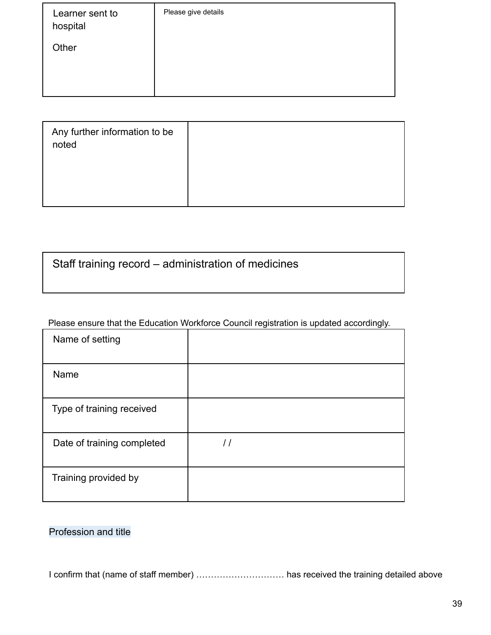| Learner sent to<br>hospital | Please give details |
|-----------------------------|---------------------|
| Other                       |                     |
|                             |                     |

| Any further information to be<br>noted |  |
|----------------------------------------|--|
|                                        |  |

## Staff training record – administration of medicines

## Please ensure that the Education Workforce Council registration is updated accordingly.

| Name of setting            |               |
|----------------------------|---------------|
| Name                       |               |
| Type of training received  |               |
| Date of training completed | $\frac{1}{2}$ |
| Training provided by       |               |

## Profession and title

I confirm that (name of staff member) ………………………… has received the training detailed above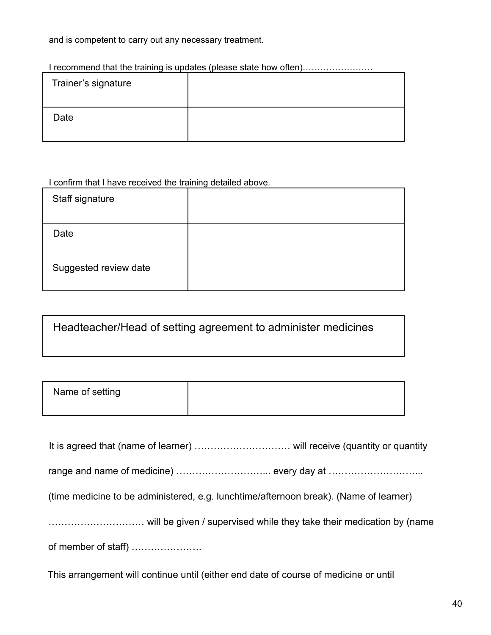and is competent to carry out any necessary treatment.

## I recommend that the training is updates (please state how often)……………………

| Trainer's signature |  |
|---------------------|--|
| Date                |  |

#### I confirm that I have received the training detailed above.

| Staff signature       |  |
|-----------------------|--|
| Date                  |  |
| Suggested review date |  |

Headteacher/Head of setting agreement to administer medicines

| Name of setting |  |
|-----------------|--|
|                 |  |

| (time medicine to be administered, e.g. lunchtime/afternoon break). (Name of learner) |  |
|---------------------------------------------------------------------------------------|--|
| will be given / supervised while they take their medication by (name                  |  |
| of member of staff)                                                                   |  |
|                                                                                       |  |

This arrangement will continue until (either end date of course of medicine or until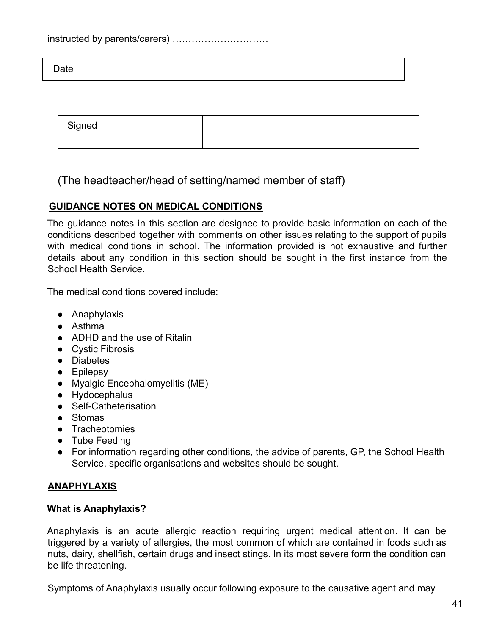instructed by parents/carers) …………………………

| $\Delta$ ate |  |
|--------------|--|
|              |  |

| Signed |  |
|--------|--|
|        |  |

(The headteacher/head of setting/named member of staff)

## **GUIDANCE NOTES ON MEDICAL CONDITIONS**

The guidance notes in this section are designed to provide basic information on each of the conditions described together with comments on other issues relating to the support of pupils with medical conditions in school. The information provided is not exhaustive and further details about any condition in this section should be sought in the first instance from the School Health Service.

The medical conditions covered include:

- Anaphylaxis
- Asthma
- ADHD and the use of Ritalin
- Cystic Fibrosis
- Diabetes
- Epilepsy
- Myalgic Encephalomyelitis (ME)
- Hydocephalus
- Self-Catheterisation
- Stomas
- Tracheotomies
- Tube Feeding
- For information regarding other conditions, the advice of parents, GP, the School Health Service, specific organisations and websites should be sought.

## **ANAPHYLAXIS**

## **What is Anaphylaxis?**

Anaphylaxis is an acute allergic reaction requiring urgent medical attention. It can be triggered by a variety of allergies, the most common of which are contained in foods such as nuts, dairy, shellfish, certain drugs and insect stings. In its most severe form the condition can be life threatening.

Symptoms of Anaphylaxis usually occur following exposure to the causative agent and may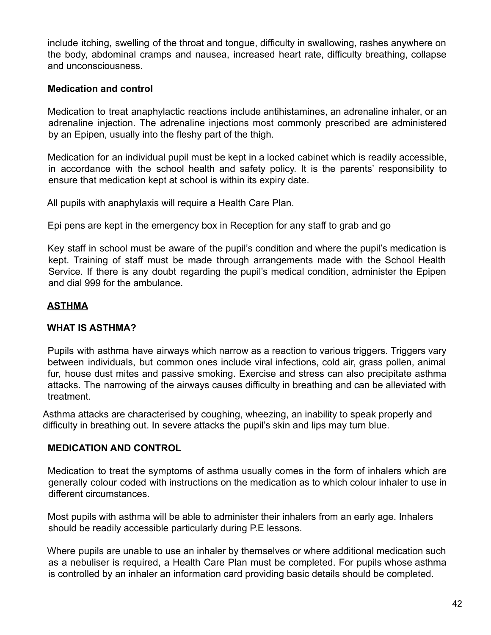include itching, swelling of the throat and tongue, difficulty in swallowing, rashes anywhere on the body, abdominal cramps and nausea, increased heart rate, difficulty breathing, collapse and unconsciousness.

## **Medication and control**

Medication to treat anaphylactic reactions include antihistamines, an adrenaline inhaler, or an adrenaline injection. The adrenaline injections most commonly prescribed are administered by an Epipen, usually into the fleshy part of the thigh.

Medication for an individual pupil must be kept in a locked cabinet which is readily accessible, in accordance with the school health and safety policy. It is the parents' responsibility to ensure that medication kept at school is within its expiry date.

All pupils with anaphylaxis will require a Health Care Plan.

Epi pens are kept in the emergency box in Reception for any staff to grab and go

Key staff in school must be aware of the pupil's condition and where the pupil's medication is kept. Training of staff must be made through arrangements made with the School Health Service. If there is any doubt regarding the pupil's medical condition, administer the Epipen and dial 999 for the ambulance.

## **ASTHMA**

## **WHAT IS ASTHMA?**

Pupils with asthma have airways which narrow as a reaction to various triggers. Triggers vary between individuals, but common ones include viral infections, cold air, grass pollen, animal fur, house dust mites and passive smoking. Exercise and stress can also precipitate asthma attacks. The narrowing of the airways causes difficulty in breathing and can be alleviated with treatment.

Asthma attacks are characterised by coughing, wheezing, an inability to speak properly and difficulty in breathing out. In severe attacks the pupil's skin and lips may turn blue.

## **MEDICATION AND CONTROL**

Medication to treat the symptoms of asthma usually comes in the form of inhalers which are generally colour coded with instructions on the medication as to which colour inhaler to use in different circumstances.

Most pupils with asthma will be able to administer their inhalers from an early age. Inhalers should be readily accessible particularly during P.E lessons.

Where pupils are unable to use an inhaler by themselves or where additional medication such as a nebuliser is required, a Health Care Plan must be completed. For pupils whose asthma is controlled by an inhaler an information card providing basic details should be completed.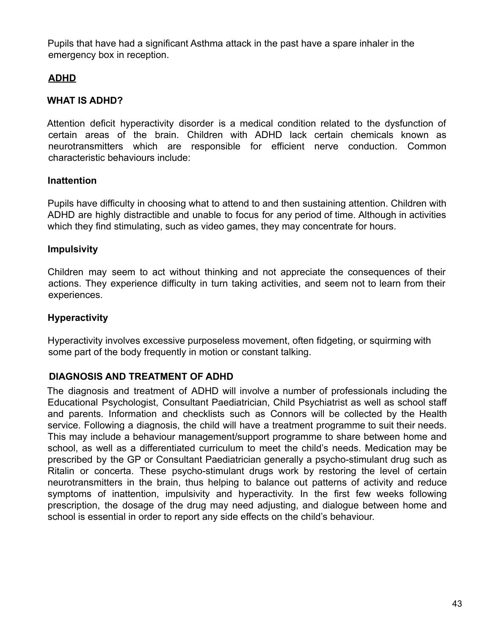Pupils that have had a significant Asthma attack in the past have a spare inhaler in the emergency box in reception.

## **ADHD**

## **WHAT IS ADHD?**

Attention deficit hyperactivity disorder is a medical condition related to the dysfunction of certain areas of the brain. Children with ADHD lack certain chemicals known as neurotransmitters which are responsible for efficient nerve conduction. Common characteristic behaviours include:

## **Inattention**

Pupils have difficulty in choosing what to attend to and then sustaining attention. Children with ADHD are highly distractible and unable to focus for any period of time. Although in activities which they find stimulating, such as video games, they may concentrate for hours.

## **Impulsivity**

Children may seem to act without thinking and not appreciate the consequences of their actions. They experience difficulty in turn taking activities, and seem not to learn from their experiences.

## **Hyperactivity**

Hyperactivity involves excessive purposeless movement, often fidgeting, or squirming with some part of the body frequently in motion or constant talking.

## **DIAGNOSIS AND TREATMENT OF ADHD**

The diagnosis and treatment of ADHD will involve a number of professionals including the Educational Psychologist, Consultant Paediatrician, Child Psychiatrist as well as school staff and parents. Information and checklists such as Connors will be collected by the Health service. Following a diagnosis, the child will have a treatment programme to suit their needs. This may include a behaviour management/support programme to share between home and school, as well as a differentiated curriculum to meet the child's needs. Medication may be prescribed by the GP or Consultant Paediatrician generally a psycho-stimulant drug such as Ritalin or concerta. These psycho-stimulant drugs work by restoring the level of certain neurotransmitters in the brain, thus helping to balance out patterns of activity and reduce symptoms of inattention, impulsivity and hyperactivity. In the first few weeks following prescription, the dosage of the drug may need adjusting, and dialogue between home and school is essential in order to report any side effects on the child's behaviour.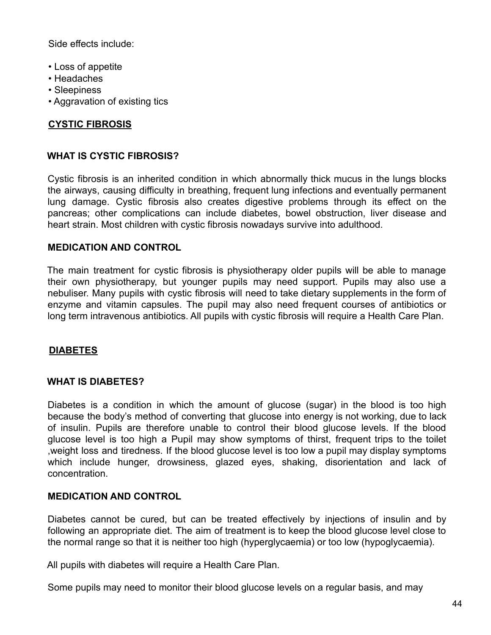Side effects include:

- Loss of appetite
- Headaches
- Sleepiness
- Aggravation of existing tics

## **CYSTIC FIBROSIS**

#### **WHAT IS CYSTIC FIBROSIS?**

Cystic fibrosis is an inherited condition in which abnormally thick mucus in the lungs blocks the airways, causing difficulty in breathing, frequent lung infections and eventually permanent lung damage. Cystic fibrosis also creates digestive problems through its effect on the pancreas; other complications can include diabetes, bowel obstruction, liver disease and heart strain. Most children with cystic fibrosis nowadays survive into adulthood.

#### **MEDICATION AND CONTROL**

The main treatment for cystic fibrosis is physiotherapy older pupils will be able to manage their own physiotherapy, but younger pupils may need support. Pupils may also use a nebuliser. Many pupils with cystic fibrosis will need to take dietary supplements in the form of enzyme and vitamin capsules. The pupil may also need frequent courses of antibiotics or long term intravenous antibiotics. All pupils with cystic fibrosis will require a Health Care Plan.

#### **DIABETES**

#### **WHAT IS DIABETES?**

Diabetes is a condition in which the amount of glucose (sugar) in the blood is too high because the body's method of converting that glucose into energy is not working, due to lack of insulin. Pupils are therefore unable to control their blood glucose levels. If the blood glucose level is too high a Pupil may show symptoms of thirst, frequent trips to the toilet ,weight loss and tiredness. If the blood glucose level is too low a pupil may display symptoms which include hunger, drowsiness, glazed eyes, shaking, disorientation and lack of concentration.

#### **MEDICATION AND CONTROL**

Diabetes cannot be cured, but can be treated effectively by injections of insulin and by following an appropriate diet. The aim of treatment is to keep the blood glucose level close to the normal range so that it is neither too high (hyperglycaemia) or too low (hypoglycaemia).

All pupils with diabetes will require a Health Care Plan.

Some pupils may need to monitor their blood glucose levels on a regular basis, and may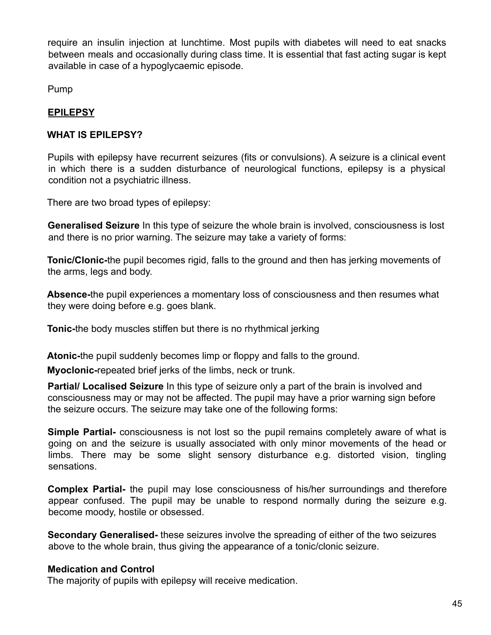require an insulin injection at lunchtime. Most pupils with diabetes will need to eat snacks between meals and occasionally during class time. It is essential that fast acting sugar is kept available in case of a hypoglycaemic episode.

Pump

## **EPILEPSY**

## **WHAT IS EPILEPSY?**

Pupils with epilepsy have recurrent seizures (fits or convulsions). A seizure is a clinical event in which there is a sudden disturbance of neurological functions, epilepsy is a physical condition not a psychiatric illness.

There are two broad types of epilepsy:

**Generalised Seizure** In this type of seizure the whole brain is involved, consciousness is lost and there is no prior warning. The seizure may take a variety of forms:

**Tonic/Clonic-**the pupil becomes rigid, falls to the ground and then has jerking movements of the arms, legs and body.

**Absence-**the pupil experiences a momentary loss of consciousness and then resumes what they were doing before e.g. goes blank.

**Tonic-**the body muscles stiffen but there is no rhythmical jerking

**Atonic-**the pupil suddenly becomes limp or floppy and falls to the ground.

**Myoclonic-**repeated brief jerks of the limbs, neck or trunk.

**Partial/ Localised Seizure** In this type of seizure only a part of the brain is involved and consciousness may or may not be affected. The pupil may have a prior warning sign before the seizure occurs. The seizure may take one of the following forms:

**Simple Partial-** consciousness is not lost so the pupil remains completely aware of what is going on and the seizure is usually associated with only minor movements of the head or limbs. There may be some slight sensory disturbance e.g. distorted vision, tingling sensations.

**Complex Partial-** the pupil may lose consciousness of his/her surroundings and therefore appear confused. The pupil may be unable to respond normally during the seizure e.g. become moody, hostile or obsessed.

**Secondary Generalised-** these seizures involve the spreading of either of the two seizures above to the whole brain, thus giving the appearance of a tonic/clonic seizure.

## **Medication and Control**

The majority of pupils with epilepsy will receive medication.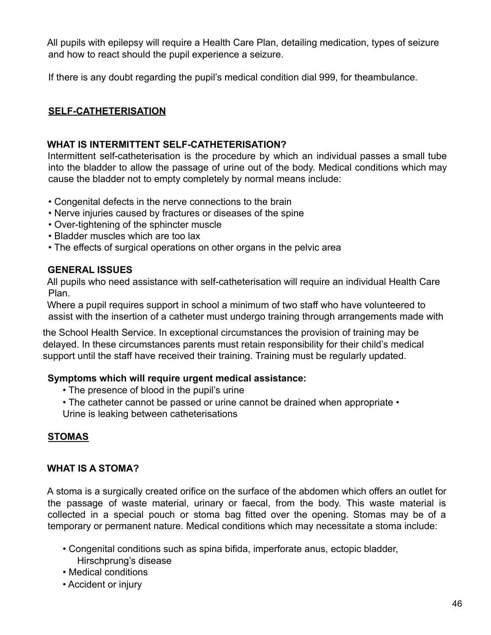All pupils with epilepsy will require a Health Care Plan, detailing medication, types of seizure and how to react should the pupil experience a seizure.

If there is any doubt regarding the pupil's medical condition dial 999, for theambulance.

## **SELF-CATHETERISATION**

## **WHAT IS INTERMITTENT SELF-CATHETERISATION?**

Intermittent self-catheterisation is the procedure by which an individual passes a small tube into the bladder to allow the passage of urine out of the body. Medical conditions which may cause the bladder not to empty completely by normal means include:

- Congenital defects in the nerve connections to the brain
- Nerve injuries caused by fractures or diseases of the spine
- Over-tightening of the sphincter muscle
- Bladder muscles which are too lax
- The effects of surgical operations on other organs in the pelvic area

## **GENERAL ISSUES**

All pupils who need assistance with self-catheterisation will require an individual Health Care Plan.

Where a pupil requires support in school a minimum of two staff who have volunteered to assist with the insertion of a catheter must undergo training through arrangements made with

the School Health Service. In exceptional circumstances the provision of training may be delayed. In these circumstances parents must retain responsibility for their child's medical support until the staff have received their training. Training must be regularly updated.

## **Symptoms which will require urgent medical assistance:**

- The presence of blood in the pupil's urine
- The catheter cannot be passed or urine cannot be drained when appropriate •
- Urine is leaking between catheterisations

## **STOMAS**

## **WHAT IS A STOMA?**

A stoma is a surgically created orifice on the surface of the abdomen which offers an outlet for the passage of waste material, urinary or faecal, from the body. This waste material is collected in a special pouch or stoma bag fitted over the opening. Stomas may be of a temporary or permanent nature. Medical conditions which may necessitate a stoma include:

- Congenital conditions such as spina bifida, imperforate anus, ectopic bladder, Hirschprung's disease
- Medical conditions
- Accident or injury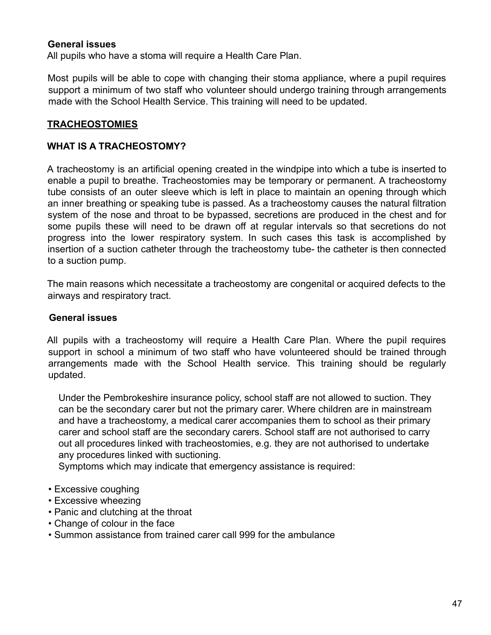#### **General issues**

All pupils who have a stoma will require a Health Care Plan.

Most pupils will be able to cope with changing their stoma appliance, where a pupil requires support a minimum of two staff who volunteer should undergo training through arrangements made with the School Health Service. This training will need to be updated.

#### **TRACHEOSTOMIES**

#### **WHAT IS A TRACHEOSTOMY?**

A tracheostomy is an artificial opening created in the windpipe into which a tube is inserted to enable a pupil to breathe. Tracheostomies may be temporary or permanent. A tracheostomy tube consists of an outer sleeve which is left in place to maintain an opening through which an inner breathing or speaking tube is passed. As a tracheostomy causes the natural filtration system of the nose and throat to be bypassed, secretions are produced in the chest and for some pupils these will need to be drawn off at regular intervals so that secretions do not progress into the lower respiratory system. In such cases this task is accomplished by insertion of a suction catheter through the tracheostomy tube- the catheter is then connected to a suction pump.

The main reasons which necessitate a tracheostomy are congenital or acquired defects to the airways and respiratory tract.

#### **General issues**

All pupils with a tracheostomy will require a Health Care Plan. Where the pupil requires support in school a minimum of two staff who have volunteered should be trained through arrangements made with the School Health service. This training should be regularly updated.

Under the Pembrokeshire insurance policy, school staff are not allowed to suction. They can be the secondary carer but not the primary carer. Where children are in mainstream and have a tracheostomy, a medical carer accompanies them to school as their primary carer and school staff are the secondary carers. School staff are not authorised to carry out all procedures linked with tracheostomies, e.g. they are not authorised to undertake any procedures linked with suctioning.

Symptoms which may indicate that emergency assistance is required:

- Excessive coughing
- Excessive wheezing
- Panic and clutching at the throat
- Change of colour in the face
- Summon assistance from trained carer call 999 for the ambulance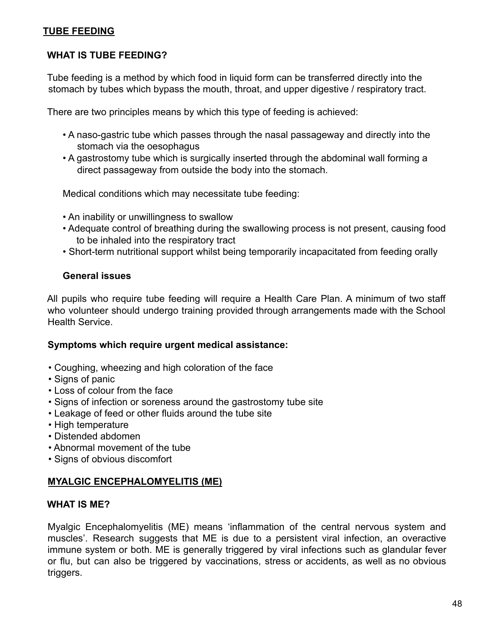## **TUBE FEEDING**

## **WHAT IS TUBE FEEDING?**

Tube feeding is a method by which food in liquid form can be transferred directly into the stomach by tubes which bypass the mouth, throat, and upper digestive / respiratory tract.

There are two principles means by which this type of feeding is achieved:

- A naso-gastric tube which passes through the nasal passageway and directly into the stomach via the oesophagus
- A gastrostomy tube which is surgically inserted through the abdominal wall forming a direct passageway from outside the body into the stomach.

Medical conditions which may necessitate tube feeding:

- An inability or unwillingness to swallow
- Adequate control of breathing during the swallowing process is not present, causing food to be inhaled into the respiratory tract
- Short-term nutritional support whilst being temporarily incapacitated from feeding orally

## **General issues**

All pupils who require tube feeding will require a Health Care Plan. A minimum of two staff who volunteer should undergo training provided through arrangements made with the School Health Service.

#### **Symptoms which require urgent medical assistance:**

- Coughing, wheezing and high coloration of the face
- Signs of panic
- Loss of colour from the face
- Signs of infection or soreness around the gastrostomy tube site
- Leakage of feed or other fluids around the tube site
- High temperature
- Distended abdomen
- Abnormal movement of the tube
- Signs of obvious discomfort

## **MYALGIC ENCEPHALOMYELITIS (ME)**

#### **WHAT IS ME?**

Myalgic Encephalomyelitis (ME) means 'inflammation of the central nervous system and muscles'. Research suggests that ME is due to a persistent viral infection, an overactive immune system or both. ME is generally triggered by viral infections such as glandular fever or flu, but can also be triggered by vaccinations, stress or accidents, as well as no obvious triggers.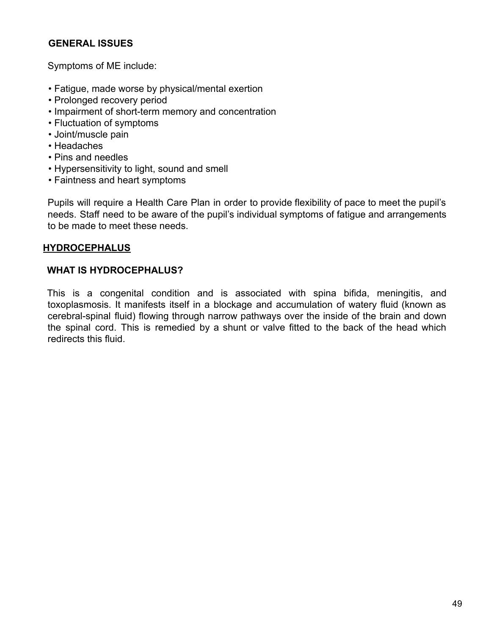## **GENERAL ISSUES**

Symptoms of ME include:

- Fatigue, made worse by physical/mental exertion
- Prolonged recovery period
- Impairment of short-term memory and concentration
- Fluctuation of symptoms
- Joint/muscle pain
- Headaches
- Pins and needles
- Hypersensitivity to light, sound and smell
- Faintness and heart symptoms

Pupils will require a Health Care Plan in order to provide flexibility of pace to meet the pupil's needs. Staff need to be aware of the pupil's individual symptoms of fatigue and arrangements to be made to meet these needs.

## **HYDROCEPHALUS**

## **WHAT IS HYDROCEPHALUS?**

This is a congenital condition and is associated with spina bifida, meningitis, and toxoplasmosis. It manifests itself in a blockage and accumulation of watery fluid (known as cerebral-spinal fluid) flowing through narrow pathways over the inside of the brain and down the spinal cord. This is remedied by a shunt or valve fitted to the back of the head which redirects this fluid.